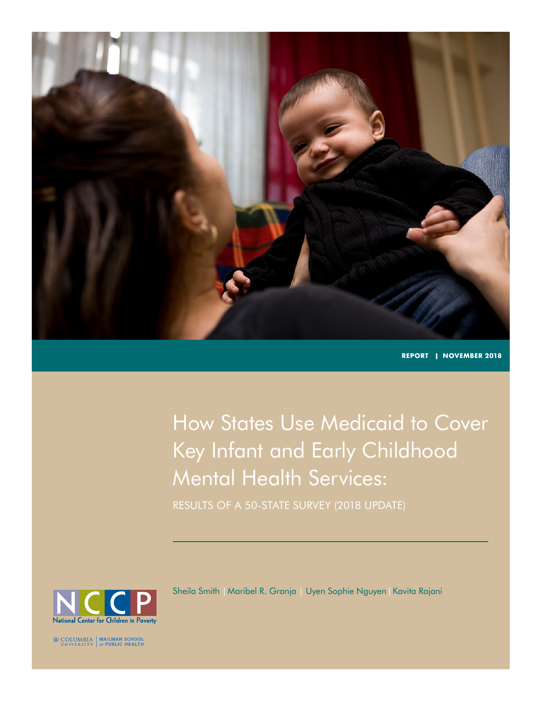

**REPORT | NOVEMBER 2018**

How States Use Medicaid to Cover Key Infant and Early Childhood Mental Health Services:

RESULTS OF A 50-STATE SURVEY (2018 UPDATE)



Sheila Smith |Maribel R. Granja | Uyen Sophie Nguyen|Kavita Rajani

**EDECOLUMBIA** MAILMAN SCHOOL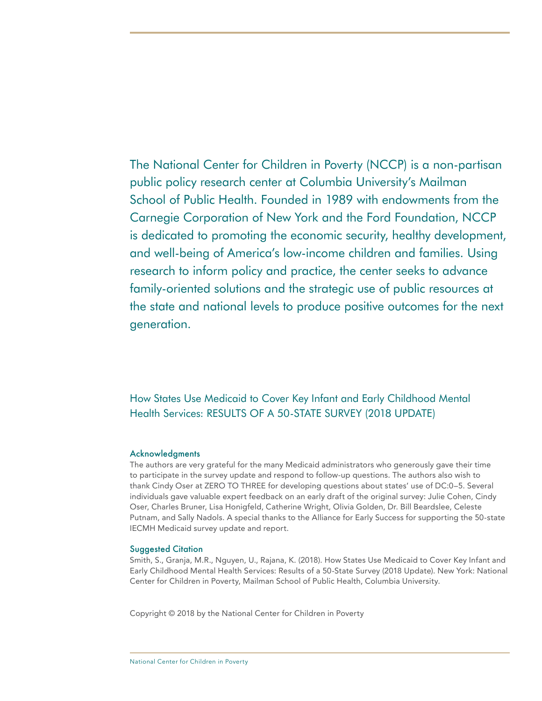The National Center for Children in Poverty (NCCP) is a non-partisan public policy research center at Columbia University's Mailman School of Public Health. Founded in 1989 with endowments from the Carnegie Corporation of New York and the Ford Foundation, NCCP is dedicated to promoting the economic security, healthy development, and well-being of America's low-income children and families. Using research to inform policy and practice, the center seeks to advance family-oriented solutions and the strategic use of public resources at the state and national levels to produce positive outcomes for the next generation.

How States Use Medicaid to Cover Key Infant and Early Childhood Mental Health Services: RESULTS OF A 50-STATE SURVEY (2018 UPDATE)

#### Acknowledgments

The authors are very grateful for the many Medicaid administrators who generously gave their time to participate in the survey update and respond to follow-up questions. The authors also wish to thank Cindy Oser at ZERO TO THREE for developing questions about states' use of DC:0–5. Several individuals gave valuable expert feedback on an early draft of the original survey: Julie Cohen, Cindy Oser, Charles Bruner, Lisa Honigfeld, Catherine Wright, Olivia Golden, Dr. Bill Beardslee, Celeste Putnam, and Sally Nadols. A special thanks to the Alliance for Early Success for supporting the 50-state IECMH Medicaid survey update and report.

#### Suggested Citation

Smith, S., Granja, M.R., Nguyen, U., Rajana, K. (2018). How States Use Medicaid to Cover Key Infant and Early Childhood Mental Health Services: Results of a 50-State Survey (2018 Update). New York: National Center for Children in Poverty, Mailman School of Public Health, Columbia University.

Copyright © 2018 by the National Center for Children in Poverty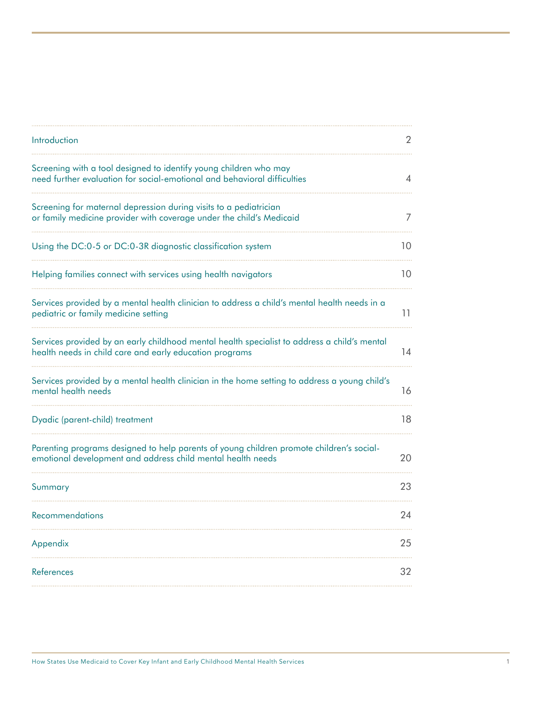| Introduction                                                                                                                                            | 2  |
|---------------------------------------------------------------------------------------------------------------------------------------------------------|----|
| Screening with a tool designed to identify young children who may<br>need further evaluation for social-emotional and behavioral difficulties           | 4  |
| Screening for maternal depression during visits to a pediatrician<br>or family medicine provider with coverage under the child's Medicaid               | 7  |
| Using the DC:0-5 or DC:0-3R diagnostic classification system                                                                                            | 10 |
| Helping families connect with services using health navigators                                                                                          | 10 |
| Services provided by a mental health clinician to address a child's mental health needs in a<br>pediatric or family medicine setting                    | 11 |
| Services provided by an early childhood mental health specialist to address a child's mental<br>health needs in child care and early education programs | 14 |
| Services provided by a mental health clinician in the home setting to address a young child's<br>mental health needs                                    | 16 |
| Dyadic (parent-child) treatment                                                                                                                         | 18 |
| Parenting programs designed to help parents of young children promote children's social-<br>emotional development and address child mental health needs | 20 |
| Summary                                                                                                                                                 | 23 |
| Recommendations                                                                                                                                         | 24 |
| Appendix                                                                                                                                                | 25 |
| References                                                                                                                                              | 32 |
|                                                                                                                                                         |    |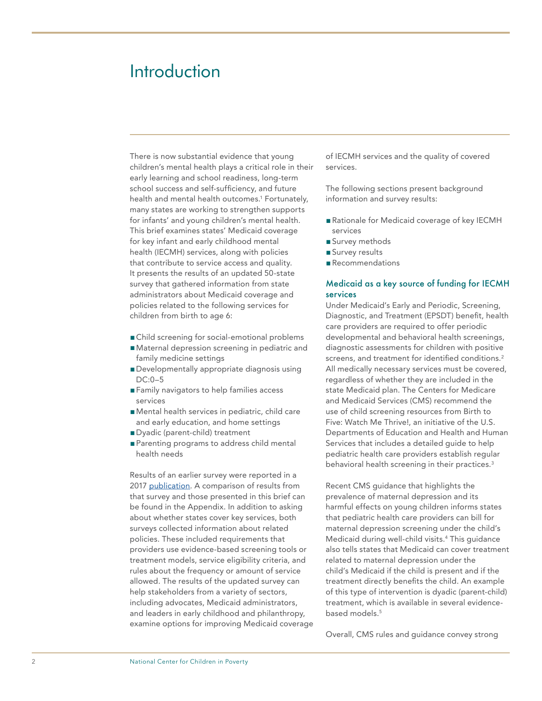## <span id="page-3-0"></span>Introduction

There is now substantial evidence that young children's mental health plays a critical role in their early learning and school readiness, long-term school success and self-sufficiency, and future health and mental health outcomes.1 Fortunately, many states are working to strengthen supports for infants' and young children's mental health. This brief examines states' Medicaid coverage for key infant and early childhood mental health (IECMH) services, along with policies that contribute to service access and quality. It presents the results of an updated 50-state survey that gathered information from state administrators about Medicaid coverage and policies related to the following services for children from birth to age 6:

- Child screening for social-emotional problems
- Maternal depression screening in pediatric and family medicine settings
- Developmentally appropriate diagnosis using DC:0–5
- Family navigators to help families access services
- Mental health services in pediatric, child care and early education, and home settings
- Dyadic (parent-child) treatment
- Parenting programs to address child mental health needs

Results of an earlier survey were reported in a 2017 [publication.](http://www.nccp.org/publications/pdf/text_1164.pdf) A comparison of results from that survey and those presented in this brief can be found in the Appendix. In addition to asking about whether states cover key services, both surveys collected information about related policies. These included requirements that providers use evidence-based screening tools or treatment models, service eligibility criteria, and rules about the frequency or amount of service allowed. The results of the updated survey can help stakeholders from a variety of sectors, including advocates, Medicaid administrators, and leaders in early childhood and philanthropy, examine options for improving Medicaid coverage

of IECMH services and the quality of covered services.

The following sections present background information and survey results:

- Rationale for Medicaid coverage of key IECMH services
- Survey methods
- Survey results
- ■Recommendations

#### Medicaid as a key source of funding for IECMH services

Under Medicaid's Early and Periodic, Screening, Diagnostic, and Treatment (EPSDT) benefit, health care providers are required to offer periodic developmental and behavioral health screenings, diagnostic assessments for children with positive screens, and treatment for identified conditions.<sup>2</sup> All medically necessary services must be covered, regardless of whether they are included in the state Medicaid plan. The Centers for Medicare and Medicaid Services (CMS) recommend the use of child screening resources from Birth to Five: Watch Me Thrive!, an initiative of the U.S. Departments of Education and Health and Human Services that includes a detailed guide to help pediatric health care providers establish regular behavioral health screening in their practices.<sup>3</sup>

Recent CMS guidance that highlights the prevalence of maternal depression and its harmful effects on young children informs states that pediatric health care providers can bill for maternal depression screening under the child's Medicaid during well-child visits.4 This guidance also tells states that Medicaid can cover treatment related to maternal depression under the child's Medicaid if the child is present and if the treatment directly benefits the child. An example of this type of intervention is dyadic (parent-child) treatment, which is available in several evidencebased models.5

Overall, CMS rules and guidance convey strong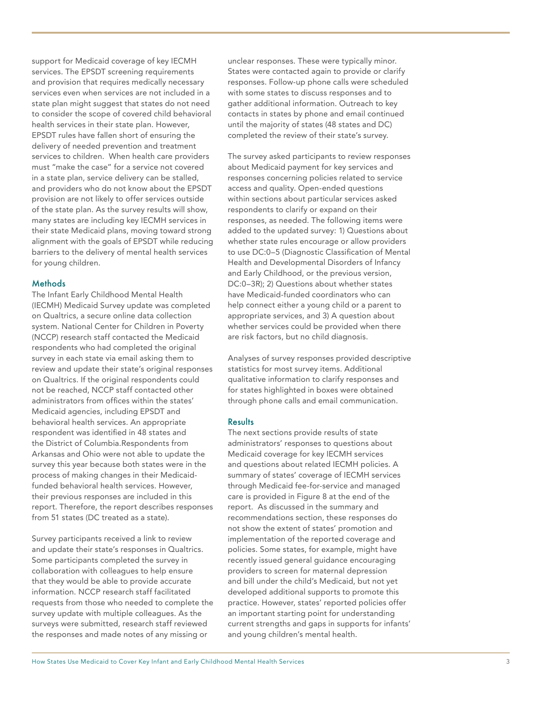support for Medicaid coverage of key IECMH services. The EPSDT screening requirements and provision that requires medically necessary services even when services are not included in a state plan might suggest that states do not need to consider the scope of covered child behavioral health services in their state plan. However, EPSDT rules have fallen short of ensuring the delivery of needed prevention and treatment services to children. When health care providers must "make the case" for a service not covered in a state plan, service delivery can be stalled, and providers who do not know about the EPSDT provision are not likely to offer services outside of the state plan. As the survey results will show, many states are including key IECMH services in their state Medicaid plans, moving toward strong alignment with the goals of EPSDT while reducing barriers to the delivery of mental health services for young children.

#### **Methods**

The Infant Early Childhood Mental Health (IECMH) Medicaid Survey update was completed on Qualtrics, a secure online data collection system. National Center for Children in Poverty (NCCP) research staff contacted the Medicaid respondents who had completed the original survey in each state via email asking them to review and update their state's original responses on Qualtrics. If the original respondents could not be reached, NCCP staff contacted other administrators from offices within the states' Medicaid agencies, including EPSDT and behavioral health services. An appropriate respondent was identified in 48 states and the District of Columbia.Respondents from Arkansas and Ohio were not able to update the survey this year because both states were in the process of making changes in their Medicaidfunded behavioral health services. However, their previous responses are included in this report. Therefore, the report describes responses from 51 states (DC treated as a state).

Survey participants received a link to review and update their state's responses in Qualtrics. Some participants completed the survey in collaboration with colleagues to help ensure that they would be able to provide accurate information. NCCP research staff facilitated requests from those who needed to complete the survey update with multiple colleagues. As the surveys were submitted, research staff reviewed the responses and made notes of any missing or

unclear responses. These were typically minor. States were contacted again to provide or clarify responses. Follow-up phone calls were scheduled with some states to discuss responses and to gather additional information. Outreach to key contacts in states by phone and email continued until the majority of states (48 states and DC) completed the review of their state's survey.

The survey asked participants to review responses about Medicaid payment for key services and responses concerning policies related to service access and quality. Open-ended questions within sections about particular services asked respondents to clarify or expand on their responses, as needed. The following items were added to the updated survey: 1) Questions about whether state rules encourage or allow providers to use DC:0–5 (Diagnostic Classification of Mental Health and Developmental Disorders of Infancy and Early Childhood, or the previous version, DC:0–3R); 2) Questions about whether states have Medicaid-funded coordinators who can help connect either a young child or a parent to appropriate services, and 3) A question about whether services could be provided when there are risk factors, but no child diagnosis.

Analyses of survey responses provided descriptive statistics for most survey items. Additional qualitative information to clarify responses and for states highlighted in boxes were obtained through phone calls and email communication.

#### **Results**

The next sections provide results of state administrators' responses to questions about Medicaid coverage for key IECMH services and questions about related IECMH policies. A summary of states' coverage of IECMH services through Medicaid fee-for-service and managed care is provided in Figure 8 at the end of the report. As discussed in the summary and recommendations section, these responses do not show the extent of states' promotion and implementation of the reported coverage and policies. Some states, for example, might have recently issued general guidance encouraging providers to screen for maternal depression and bill under the child's Medicaid, but not yet developed additional supports to promote this practice. However, states' reported policies offer an important starting point for understanding current strengths and gaps in supports for infants' and young children's mental health.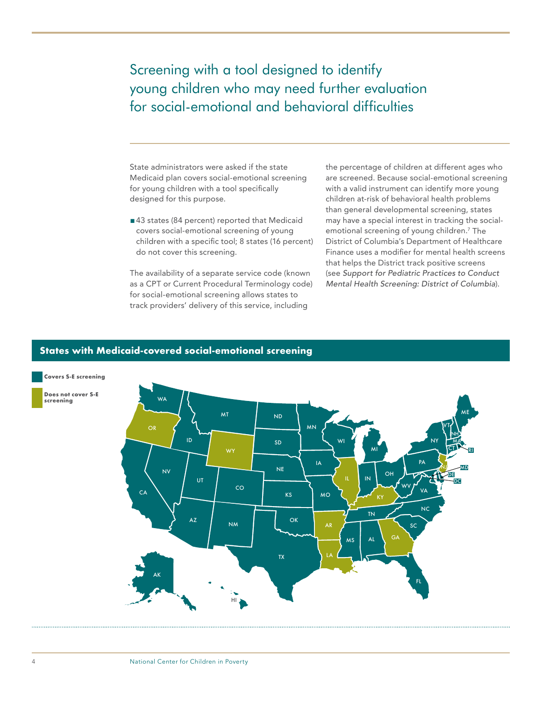### <span id="page-5-0"></span>Screening with a tool designed to identify young children who may need further evaluation for social-emotional and behavioral difficulties

State administrators were asked if the state Medicaid plan covers social-emotional screening for young children with a tool specifically designed for this purpose.

■43 states (84 percent) reported that Medicaid covers social-emotional screening of young children with a specific tool; 8 states (16 percent) do not cover this screening.

The availability of a separate service code (known as a CPT or Current Procedural Terminology code) for social-emotional screening allows states to track providers' delivery of this service, including

the percentage of children at different ages who are screened. Because social-emotional screening with a valid instrument can identify more young children at-risk of behavioral health problems than general developmental screening, states may have a special interest in tracking the socialemotional screening of young children.7 The District of Columbia's Department of Healthcare Finance uses a modifier for mental health screens that helps the District track positive screens (see *Support for Pediatric Practices to Conduct Mental Health Screening: District of Columbia*).

#### **States with Medicaid-covered social-emotional screening**

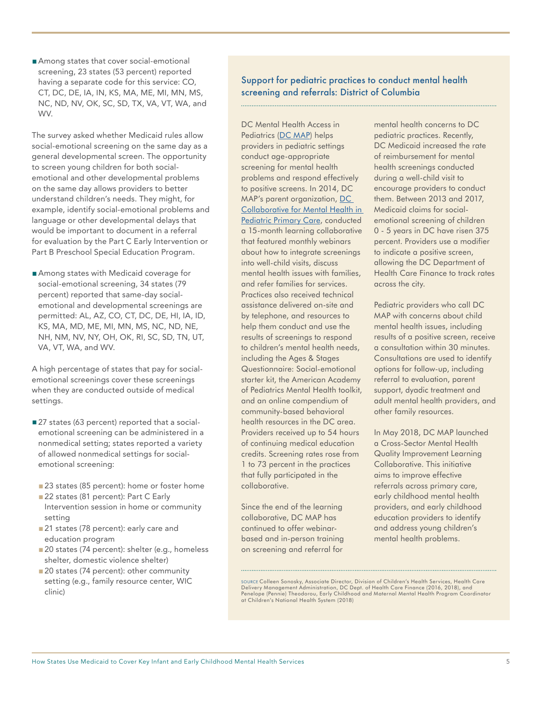■ Among states that cover social-emotional screening, 23 states (53 percent) reported having a separate code for this service: CO, CT, DC, DE, IA, IN, KS, MA, ME, MI, MN, MS, NC, ND, NV, OK, SC, SD, TX, VA, VT, WA, and WV.

The survey asked whether Medicaid rules allow social-emotional screening on the same day as a general developmental screen. The opportunity to screen young children for both socialemotional and other developmental problems on the same day allows providers to better understand children's needs. They might, for example, identify social-emotional problems and language or other developmental delays that would be important to document in a referral for evaluation by the Part C Early Intervention or Part B Preschool Special Education Program.

■ Among states with Medicaid coverage for social-emotional screening, 34 states (79 percent) reported that same-day socialemotional and developmental screenings are permitted: AL, AZ, CO, CT, DC, DE, HI, IA, ID, KS, MA, MD, ME, MI, MN, MS, NC, ND, NE, NH, NM, NV, NY, OH, OK, RI, SC, SD, TN, UT, VA, VT, WA, and WV.

A high percentage of states that pay for socialemotional screenings cover these screenings when they are conducted outside of medical settings.

- ■27 states (63 percent) reported that a socialemotional screening can be administered in a nonmedical setting; states reported a variety of allowed nonmedical settings for socialemotional screening:
- 23 states (85 percent): home or foster home
- 22 states (81 percent): Part C Early Intervention session in home or community setting
- 21 states (78 percent): early care and education program
- 20 states (74 percent): shelter (e.g., homeless shelter, domestic violence shelter)
- 20 states (74 percent): other community setting (e.g., family resource center, WIC clinic)

Support for pediatric practices to conduct mental health screening and referrals: District of Columbia

DC Mental Health Access in Pediatrics ([DC MAP](http://www.dcmap.org/)) helps providers in pediatric settings conduct age-appropriate screening for mental health problems and respond effectively to positive screens. In 2014, DC MAP's parent organization, [DC](http://www.dcmap.org/about/dc-collaborative-for-mental-health-in-pediatric-primary-care/overview/)  [Collaborative for Mental Health in](http://www.dcmap.org/about/dc-collaborative-for-mental-health-in-pediatric-primary-care/overview/)  [Pediatric Primary Care,](http://www.dcmap.org/about/dc-collaborative-for-mental-health-in-pediatric-primary-care/overview/) conducted a 15-month learning collaborative that featured monthly webinars about how to integrate screenings into well-child visits, discuss mental health issues with families, and refer families for services. Practices also received technical assistance delivered on-site and by telephone, and resources to help them conduct and use the results of screenings to respond to children's mental health needs, including the Ages & Stages Questionnaire: Social-emotional starter kit, the American Academy of Pediatrics Mental Health toolkit, and an online compendium of community-based behavioral health resources in the DC area. Providers received up to 54 hours of continuing medical education credits. Screening rates rose from 1 to 73 percent in the practices that fully participated in the collaborative.

Since the end of the learning collaborative, DC MAP has continued to offer webinarbased and in-person training on screening and referral for

mental health concerns to DC pediatric practices. Recently, DC Medicaid increased the rate of reimbursement for mental health screenings conducted during a well-child visit to encourage providers to conduct them. Between 2013 and 2017, Medicaid claims for socialemotional screening of children 0 - 5 years in DC have risen 375 percent. Providers use a modifier to indicate a positive screen, allowing the DC Department of Health Care Finance to track rates across the city.

Pediatric providers who call DC MAP with concerns about child mental health issues, including results of a positive screen, receive a consultation within 30 minutes. Consultations are used to identify options for follow-up, including referral to evaluation, parent support, dyadic treatment and adult mental health providers, and other family resources.

In May 2018, DC MAP launched a Cross-Sector Mental Health Quality Improvement Learning Collaborative. This initiative aims to improve effective referrals across primary care, early childhood mental health providers, and early childhood education providers to identify and address young children's mental health problems.

SOURCE Colleen Sonosky, Associate Director, Division of Children's Health Services, Health Care Delivery Management Administration, DC Dept. of Health Care Finance (2016, 2018), and Penelope (Pennie) Theodorou, Early Childhood and Maternal Mental Health Program Coordinator at Children's National Health System (2018)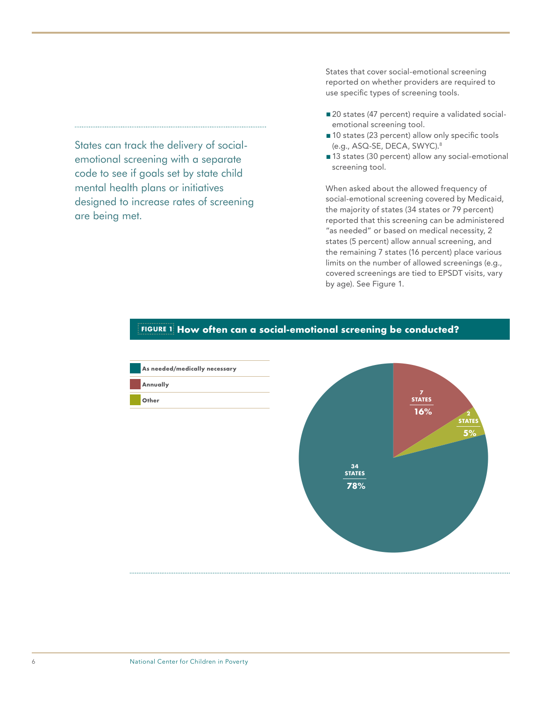States can track the delivery of socialemotional screening with a separate code to see if goals set by state child mental health plans or initiatives designed to increase rates of screening are being met.

States that cover social-emotional screening reported on whether providers are required to use specific types of screening tools.

- 20 states (47 percent) require a validated socialemotional screening tool.
- 10 states (23 percent) allow only specific tools (e.g., ASQ-SE, DECA, SWYC).8
- 13 states (30 percent) allow any social-emotional screening tool.

When asked about the allowed frequency of social-emotional screening covered by Medicaid, the majority of states (34 states or 79 percent) reported that this screening can be administered "as needed" or based on medical necessity, 2 states (5 percent) allow annual screening, and the remaining 7 states (16 percent) place various limits on the number of allowed screenings (e.g., covered screenings are tied to EPSDT visits, vary by age). See Figure 1.



#### **FIGURE 1 How often can a social-emotional screening be conducted?**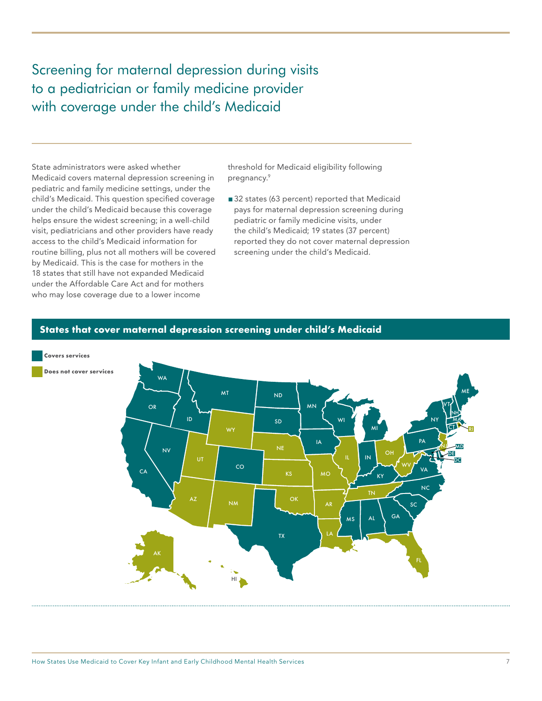<span id="page-8-0"></span>Screening for maternal depression during visits to a pediatrician or family medicine provider with coverage under the child's Medicaid

State administrators were asked whether Medicaid covers maternal depression screening in pediatric and family medicine settings, under the child's Medicaid. This question specified coverage under the child's Medicaid because this coverage helps ensure the widest screening; in a well-child visit, pediatricians and other providers have ready access to the child's Medicaid information for routine billing, plus not all mothers will be covered by Medicaid. This is the case for mothers in the 18 states that still have not expanded Medicaid under the Affordable Care Act and for mothers who may lose coverage due to a lower income

threshold for Medicaid eligibility following pregnancy.9

■ 32 states (63 percent) reported that Medicaid pays for maternal depression screening during pediatric or family medicine visits, under the child's Medicaid; 19 states (37 percent) reported they do not cover maternal depression screening under the child's Medicaid.

#### **States that cover maternal depression screening under child's Medicaid**

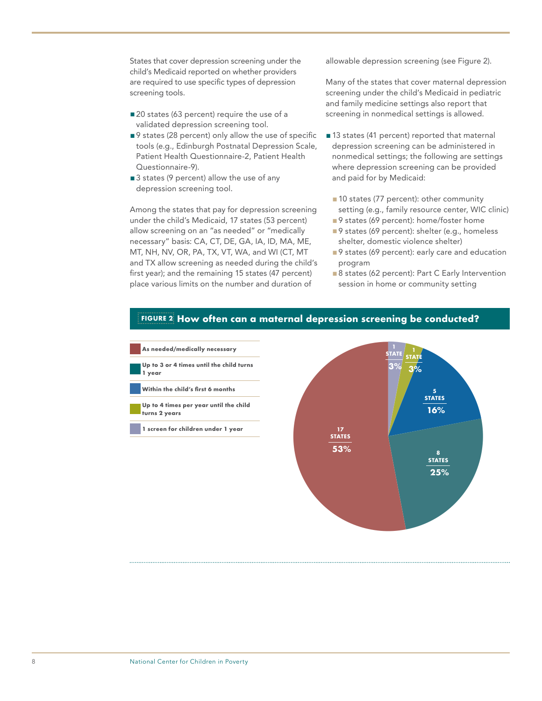States that cover depression screening under the child's Medicaid reported on whether providers are required to use specific types of depression screening tools.

- 20 states (63 percent) require the use of a validated depression screening tool.
- ■9 states (28 percent) only allow the use of specific tools (e.g., Edinburgh Postnatal Depression Scale, Patient Health Questionnaire-2, Patient Health Questionnaire-9).
- 3 states (9 percent) allow the use of any depression screening tool.

Among the states that pay for depression screening under the child's Medicaid, 17 states (53 percent) allow screening on an "as needed" or "medically necessary" basis: CA, CT, DE, GA, IA, ID, MA, ME, MT, NH, NV, OR, PA, TX, VT, WA, and WI (CT, MT and TX allow screening as needed during the child's first year); and the remaining 15 states (47 percent) place various limits on the number and duration of

allowable depression screening (see Figure 2).

Many of the states that cover maternal depression screening under the child's Medicaid in pediatric and family medicine settings also report that screening in nonmedical settings is allowed.

- ■13 states (41 percent) reported that maternal depression screening can be administered in nonmedical settings; the following are settings where depression screening can be provided and paid for by Medicaid:
	- 10 states (77 percent): other community setting (e.g., family resource center, WIC clinic)
	- ■9 states (69 percent): home/foster home
	- ■9 states (69 percent): shelter (e.g., homeless shelter, domestic violence shelter)
	- ■9 states (69 percent): early care and education program
	- 8 states (62 percent): Part C Early Intervention session in home or community setting



#### **FIGURE 2 How often can a maternal depression screening be conducted?**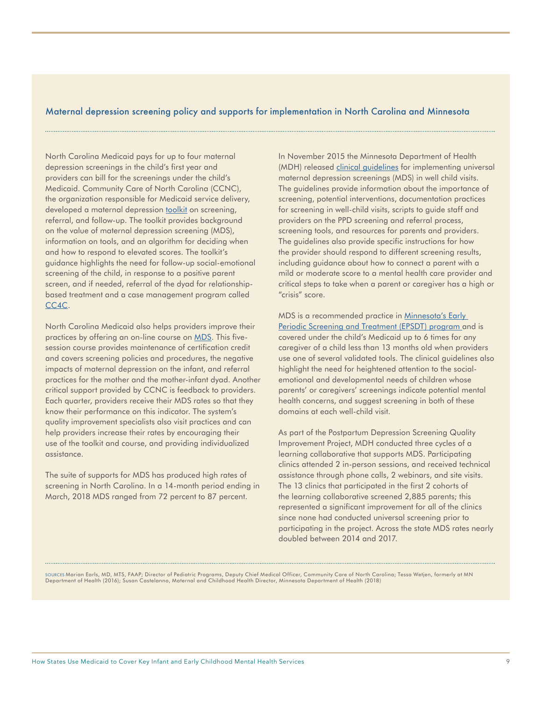#### Maternal depression screening policy and supports for implementation in North Carolina and Minnesota

North Carolina Medicaid pays for up to four maternal depression screenings in the child's first year and providers can bill for the screenings under the child's Medicaid. Community Care of North Carolina (CCNC), the organization responsible for Medicaid service delivery, developed a maternal depression [toolkit](https://www.communitycarenc.org/media/files/maternal-depression-toolkit-rev.pdf) on screening, referral, and follow-up. The toolkit provides background on the value of maternal depression screening (MDS), information on tools, and an algorithm for deciding when and how to respond to elevated scores. The toolkit's guidance highlights the need for follow-up social-emotional screening of the child, in response to a positive parent screen, and if needed, referral of the dyad for relationshipbased treatment and a case management program called CC<sub>4</sub>C.

North Carolina Medicaid also helps providers improve their practices by offering an on-line course on [MDS.](https://www.communitycarenc.org/media/files/moc-iv-maternal-depression.pdf) This fivesession course provides maintenance of certification credit and covers screening policies and procedures, the negative impacts of maternal depression on the infant, and referral practices for the mother and the mother-infant dyad. Another critical support provided by CCNC is feedback to providers. Each quarter, providers receive their MDS rates so that they know their performance on this indicator. The system's quality improvement specialists also visit practices and can help providers increase their rates by encouraging their use of the toolkit and course, and providing individualized assistance.

The suite of supports for MDS has produced high rates of screening in North Carolina. In a 14-month period ending in March, 2018 MDS ranged from 72 percent to 87 percent.

In November 2015 the Minnesota Department of Health (MDH) released [clinical guidelines](http://www.health.state.mn.us/divs/cfh/topic/pmad/content/document/pdf/ppdguide.pdf) for implementing universal maternal depression screenings (MDS) in well child visits. The guidelines provide information about the importance of screening, potential interventions, documentation practices for screening in well-child visits, scripts to guide staff and providers on the PPD screening and referral process, screening tools, and resources for parents and providers. The guidelines also provide specific instructions for how the provider should respond to different screening results, including guidance about how to connect a parent with a mild or moderate score to a mental health care provider and critical steps to take when a parent or caregiver has a high or "crisis" score.

MDS is a recommended practice in [Minnesota's Early](https://edocs.dhs.state.mn.us/lfserver/Public/DHS-3379-ENG)  [Periodic Screening and Treatment \(EPSDT\) program](https://edocs.dhs.state.mn.us/lfserver/Public/DHS-3379-ENG) and is covered under the child's Medicaid up to 6 times for any caregiver of a child less than 13 months old when providers use one of several validated tools. The clinical guidelines also highlight the need for heightened attention to the socialemotional and developmental needs of children whose parents' or caregivers' screenings indicate potential mental health concerns, and suggest screening in both of these domains at each well-child visit.

As part of the Postpartum Depression Screening Quality Improvement Project, MDH conducted three cycles of a learning collaborative that supports MDS. Participating clinics attended 2 in-person sessions, and received technical assistance through phone calls, 2 webinars, and site visits. The 13 clinics that participated in the first 2 cohorts of the learning collaborative screened 2,885 parents; this represented a significant improvement for all of the clinics since none had conducted universal screening prior to participating in the project. Across the state MDS rates nearly doubled between 2014 and 2017.

SOURCES Marian Earls, MD, MTS, FAAP; Director of Pediatric Programs, Deputy Chief Medical Officer, Community Care of North Carolina; Tessa Wetjen, formerly at MN Department of Health (2016); Susan Castelanno, Maternal and Childhood Health Director, Minnesota Department of Health (2018)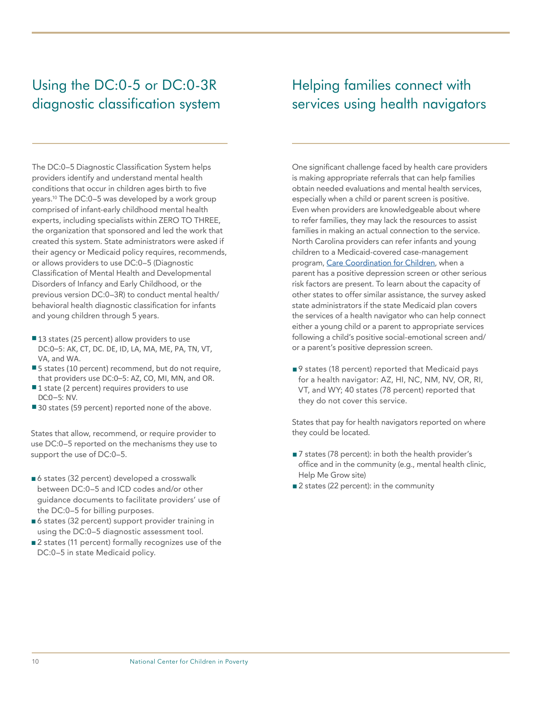## <span id="page-11-0"></span>Using the DC:0-5 or DC:0-3R diagnostic classification system

The DC:0–5 Diagnostic Classification System helps providers identify and understand mental health conditions that occur in children ages birth to five years.10 The DC:0–5 was developed by a work group comprised of infant-early childhood mental health experts, including specialists within ZERO TO THREE, the organization that sponsored and led the work that created this system. State administrators were asked if their agency or Medicaid policy requires, recommends, or allows providers to use DC:0–5 (Diagnostic Classification of Mental Health and Developmental Disorders of Infancy and Early Childhood, or the previous version DC:0–3R) to conduct mental health/ behavioral health diagnostic classification for infants and young children through 5 years.

- 13 states (25 percent) allow providers to use DC:0–5: AK, CT, DC. DE, ID, LA, MA, ME, PA, TN, VT, VA, and WA.
- 5 states (10 percent) recommend, but do not require, that providers use DC:0–5: AZ, CO, MI, MN, and OR.
- ■1 state (2 percent) requires providers to use DC:0–5: NV.
- 30 states (59 percent) reported none of the above.

States that allow, recommend, or require provider to use DC:0–5 reported on the mechanisms they use to support the use of DC:0–5.

- ■6 states (32 percent) developed a crosswalk between DC:0–5 and ICD codes and/or other guidance documents to facilitate providers' use of the DC:0–5 for billing purposes.
- ■6 states (32 percent) support provider training in using the DC:0–5 diagnostic assessment tool.
- ■2 states (11 percent) formally recognizes use of the DC:0–5 in state Medicaid policy.

### Helping families connect with services using health navigators

One significant challenge faced by health care providers is making appropriate referrals that can help families obtain needed evaluations and mental health services, especially when a child or parent screen is positive. Even when providers are knowledgeable about where to refer families, they may lack the resources to assist families in making an actual connection to the service. North Carolina providers can refer infants and young children to a Medicaid-covered case-management program, [Care Coordination for Children](https://www.communitycarenc.org/what-we-do/clinical-programs/care-coordination-children-cc4c), when a parent has a positive depression screen or other serious risk factors are present. To learn about the capacity of other states to offer similar assistance, the survey asked state administrators if the state Medicaid plan covers the services of a health navigator who can help connect either a young child or a parent to appropriate services following a child's positive social-emotional screen and/ or a parent's positive depression screen.

■9 states (18 percent) reported that Medicaid pays for a health navigator: AZ, HI, NC, NM, NV, OR, RI, VT, and WY; 40 states (78 percent) reported that they do not cover this service.

States that pay for health navigators reported on where they could be located.

- 7 states (78 percent): in both the health provider's office and in the community (e.g., mental health clinic, Help Me Grow site)
- 2 states (22 percent): in the community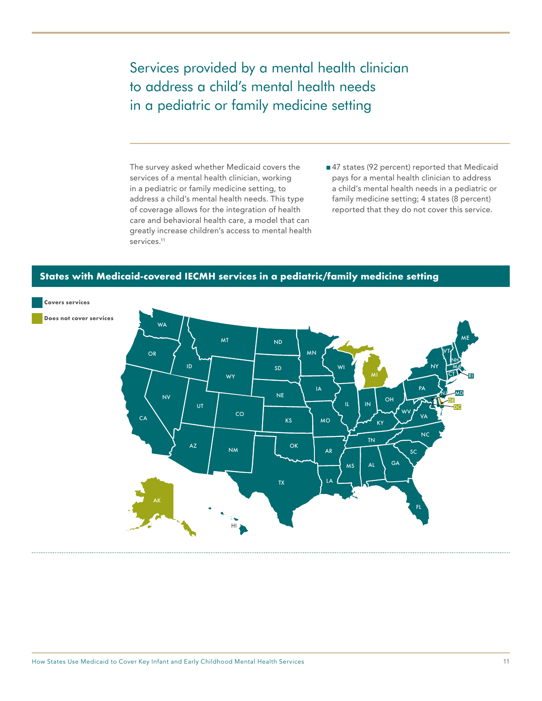<span id="page-12-0"></span>Services provided by a mental health clinician to address a child's mental health needs in a pediatric or family medicine setting

The survey asked whether Medicaid covers the services of a mental health clinician, working in a pediatric or family medicine setting, to address a child's mental health needs. This type of coverage allows for the integration of health care and behavioral health care, a model that can greatly increase children's access to mental health services.<sup>11</sup>

■47 states (92 percent) reported that Medicaid pays for a mental health clinician to address a child's mental health needs in a pediatric or family medicine setting; 4 states (8 percent) reported that they do not cover this service.

#### **States with Medicaid-covered IECMH services in a pediatric/family medicine setting**

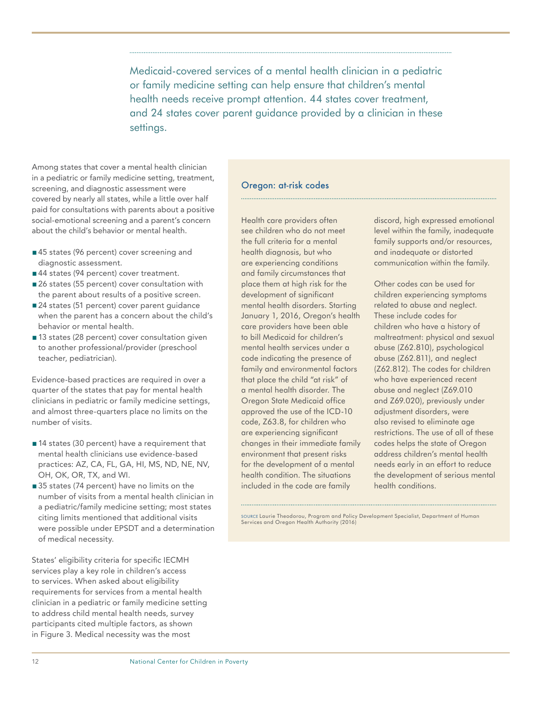Medicaid-covered services of a mental health clinician in a pediatric or family medicine setting can help ensure that children's mental health needs receive prompt attention. 44 states cover treatment, and 24 states cover parent guidance provided by a clinician in these settings.

Among states that cover a mental health clinician in a pediatric or family medicine setting, treatment, screening, and diagnostic assessment were covered by nearly all states, while a little over half paid for consultations with parents about a positive social-emotional screening and a parent's concern about the child's behavior or mental health.

- ■45 states (96 percent) cover screening and diagnostic assessment.
- ■44 states (94 percent) cover treatment.
- 26 states (55 percent) cover consultation with the parent about results of a positive screen.
- 24 states (51 percent) cover parent guidance when the parent has a concern about the child's behavior or mental health.
- 13 states (28 percent) cover consultation given to another professional/provider (preschool teacher, pediatrician).

Evidence-based practices are required in over a quarter of the states that pay for mental health clinicians in pediatric or family medicine settings, and almost three-quarters place no limits on the number of visits.

- 14 states (30 percent) have a requirement that mental health clinicians use evidence-based practices: AZ, CA, FL, GA, HI, MS, ND, NE, NV, OH, OK, OR, TX, and WI.
- ■35 states (74 percent) have no limits on the number of visits from a mental health clinician in a pediatric/family medicine setting; most states citing limits mentioned that additional visits were possible under EPSDT and a determination of medical necessity.

States' eligibility criteria for specific IECMH services play a key role in children's access to services. When asked about eligibility requirements for services from a mental health clinician in a pediatric or family medicine setting to address child mental health needs, survey participants cited multiple factors, as shown in Figure 3. Medical necessity was the most

#### Oregon: at-risk codes

Health care providers often see children who do not meet the full criteria for a mental health diagnosis, but who are experiencing conditions and family circumstances that place them at high risk for the development of significant mental health disorders. Starting January 1, 2016, Oregon's health care providers have been able to bill Medicaid for children's mental health services under a code indicating the presence of family and environmental factors that place the child "at risk" of a mental health disorder. The Oregon State Medicaid office approved the use of the ICD-10 code, Z63.8, for children who are experiencing significant changes in their immediate family environment that present risks for the development of a mental health condition. The situations included in the code are family

discord, high expressed emotional level within the family, inadequate family supports and/or resources, and inadequate or distorted communication within the family.

Other codes can be used for children experiencing symptoms related to abuse and neglect. These include codes for children who have a history of maltreatment: physical and sexual abuse (Z62.810), psychological abuse (Z62.811), and neglect (Z62.812). The codes for children who have experienced recent abuse and neglect (Z69.010 and Z69.020), previously under adjustment disorders, were also revised to eliminate age restrictions. The use of all of these codes helps the state of Oregon address children's mental health needs early in an effort to reduce the development of serious mental health conditions.

SOURCE Laurie Theodorou, Program and Policy Development Specialist, Department of Human Services and Oregon Health Authority (2016)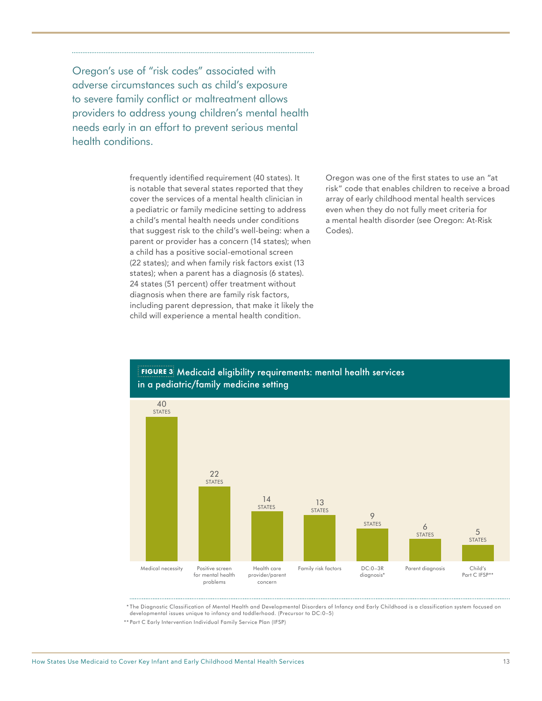Oregon's use of "risk codes" associated with adverse circumstances such as child's exposure to severe family conflict or maltreatment allows providers to address young children's mental health needs early in an effort to prevent serious mental health conditions.

> frequently identified requirement (40 states). It is notable that several states reported that they cover the services of a mental health clinician in a pediatric or family medicine setting to address a child's mental health needs under conditions that suggest risk to the child's well-being: when a parent or provider has a concern (14 states); when a child has a positive social-emotional screen (22 states); and when family risk factors exist (13 states); when a parent has a diagnosis (6 states). 24 states (51 percent) offer treatment without diagnosis when there are family risk factors, including parent depression, that make it likely the child will experience a mental health condition.

Oregon was one of the first states to use an "at risk" code that enables children to receive a broad array of early childhood mental health services even when they do not fully meet criteria for a mental health disorder (see Oregon: At-Risk Codes).



**FIGURE 3** Medicaid eligibility requirements: mental health services in a pediatric/family medicine setting

\* The Diagnostic Classification of Mental Health and Developmental Disorders of Infancy and Early Childhood is a classification system focused on developmental issues unique to infancy and toddlerhood. (Precursor to DC:0–5)

\*\* Part C Early Intervention Individual Family Service Plan (IFSP)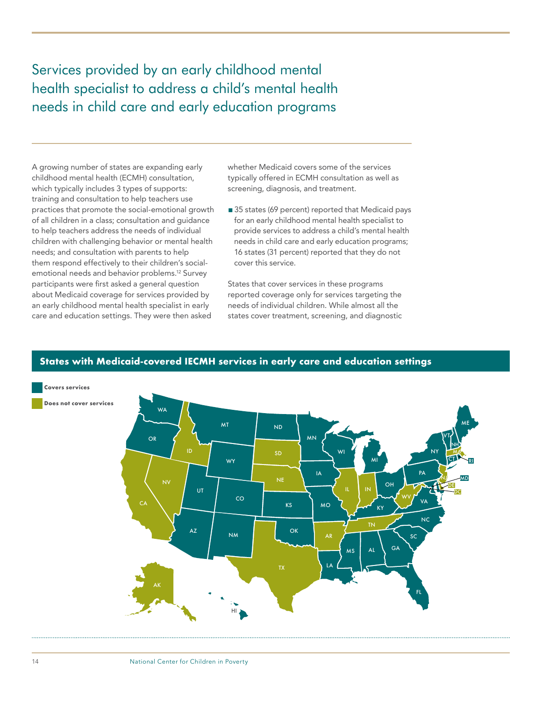<span id="page-15-0"></span>Services provided by an early childhood mental health specialist to address a child's mental health needs in child care and early education programs

A growing number of states are expanding early childhood mental health (ECMH) consultation, which typically includes 3 types of supports: training and consultation to help teachers use practices that promote the social-emotional growth of all children in a class; consultation and guidance to help teachers address the needs of individual children with challenging behavior or mental health needs; and consultation with parents to help them respond effectively to their children's socialemotional needs and behavior problems.12 Survey participants were first asked a general question about Medicaid coverage for services provided by an early childhood mental health specialist in early care and education settings. They were then asked

whether Medicaid covers some of the services typically offered in ECMH consultation as well as screening, diagnosis, and treatment.

■ 35 states (69 percent) reported that Medicaid pays for an early childhood mental health specialist to provide services to address a child's mental health needs in child care and early education programs; 16 states (31 percent) reported that they do not cover this service.

States that cover services in these programs reported coverage only for services targeting the needs of individual children. While almost all the states cover treatment, screening, and diagnostic



#### **States with Medicaid-covered IECMH services in early care and education settings**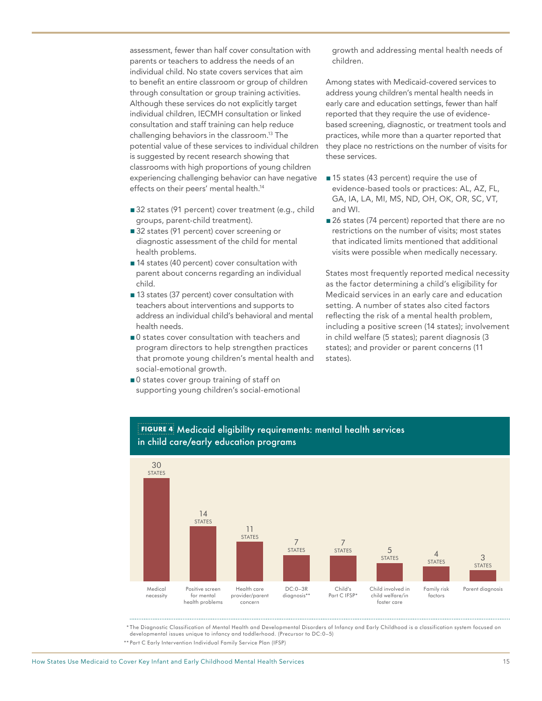assessment, fewer than half cover consultation with parents or teachers to address the needs of an individual child. No state covers services that aim to benefit an entire classroom or group of children through consultation or group training activities. Although these services do not explicitly target individual children, IECMH consultation or linked consultation and staff training can help reduce challenging behaviors in the classroom.13 The potential value of these services to individual children is suggested by recent research showing that classrooms with high proportions of young children experiencing challenging behavior can have negative effects on their peers' mental health.<sup>14</sup>

- 32 states (91 percent) cover treatment (e.g., child groups, parent-child treatment).
- 32 states (91 percent) cover screening or diagnostic assessment of the child for mental health problems.
- 14 states (40 percent) cover consultation with parent about concerns regarding an individual child.
- 13 states (37 percent) cover consultation with teachers about interventions and supports to address an individual child's behavioral and mental health needs.
- 0 states cover consultation with teachers and program directors to help strengthen practices that promote young children's mental health and social-emotional growth.
- 0 states cover group training of staff on supporting young children's social-emotional

growth and addressing mental health needs of children.

Among states with Medicaid-covered services to address young children's mental health needs in early care and education settings, fewer than half reported that they require the use of evidencebased screening, diagnostic, or treatment tools and practices, while more than a quarter reported that they place no restrictions on the number of visits for these services.

- ■15 states (43 percent) require the use of evidence-based tools or practices: AL, AZ, FL, GA, IA, LA, MI, MS, ND, OH, OK, OR, SC, VT, and WI.
- 26 states (74 percent) reported that there are no restrictions on the number of visits; most states that indicated limits mentioned that additional visits were possible when medically necessary.

States most frequently reported medical necessity as the factor determining a child's eligibility for Medicaid services in an early care and education setting. A number of states also cited factors reflecting the risk of a mental health problem, including a positive screen (14 states); involvement in child welfare (5 states); parent diagnosis (3 states); and provider or parent concerns (11 states).



#### **FIGURE 4** Medicaid eligibility requirements: mental health services in child care/early education programs

\* The Diagnostic Classification of Mental Health and Developmental Disorders of Infancy and Early Childhood is a classification system focused on developmental issues unique to infancy and toddlerhood. (Precursor to DC:0–5)

\*\* Part C Early Intervention Individual Family Service Plan (IFSP)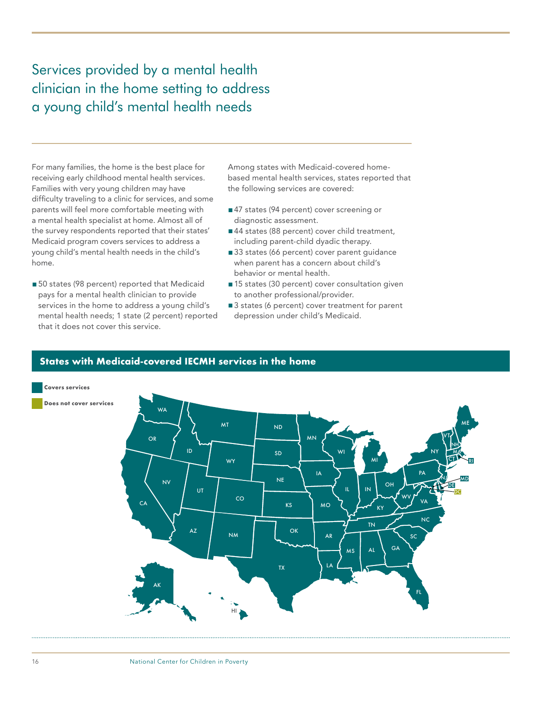## <span id="page-17-0"></span>Services provided by a mental health clinician in the home setting to address a young child's mental health needs

For many families, the home is the best place for receiving early childhood mental health services. Families with very young children may have difficulty traveling to a clinic for services, and some parents will feel more comfortable meeting with a mental health specialist at home. Almost all of the survey respondents reported that their states' Medicaid program covers services to address a young child's mental health needs in the child's home.

■ 50 states (98 percent) reported that Medicaid pays for a mental health clinician to provide services in the home to address a young child's mental health needs; 1 state (2 percent) reported that it does not cover this service.

Among states with Medicaid-covered homebased mental health services, states reported that the following services are covered:

- ■47 states (94 percent) cover screening or diagnostic assessment.
- ■44 states (88 percent) cover child treatment, including parent-child dyadic therapy.
- 33 states (66 percent) cover parent quidance when parent has a concern about child's behavior or mental health.
- 15 states (30 percent) cover consultation given to another professional/provider.
- 3 states (6 percent) cover treatment for parent depression under child's Medicaid.



#### **States with Medicaid-covered IECMH services in the home**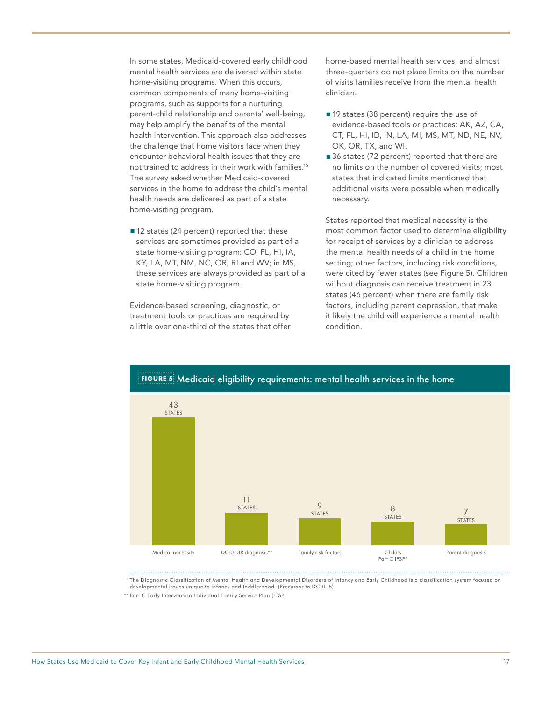In some states, Medicaid-covered early childhood mental health services are delivered within state home-visiting programs. When this occurs, common components of many home-visiting programs, such as supports for a nurturing parent-child relationship and parents' well-being, may help amplify the benefits of the mental health intervention. This approach also addresses the challenge that home visitors face when they encounter behavioral health issues that they are not trained to address in their work with families.15 The survey asked whether Medicaid-covered services in the home to address the child's mental health needs are delivered as part of a state home-visiting program.

■ 12 states (24 percent) reported that these services are sometimes provided as part of a state home-visiting program: CO, FL, HI, IA, KY, LA, MT, NM, NC, OR, RI and WV; in MS, these services are always provided as part of a state home-visiting program.

Evidence-based screening, diagnostic, or treatment tools or practices are required by a little over one-third of the states that offer home-based mental health services, and almost three-quarters do not place limits on the number of visits families receive from the mental health clinician.

- 19 states (38 percent) require the use of evidence-based tools or practices: AK, AZ, CA, CT, FL, HI, ID, IN, LA, MI, MS, MT, ND, NE, NV, OK, OR, TX, and WI.
- 36 states (72 percent) reported that there are no limits on the number of covered visits; most states that indicated limits mentioned that additional visits were possible when medically necessary.

States reported that medical necessity is the most common factor used to determine eligibility for receipt of services by a clinician to address the mental health needs of a child in the home setting; other factors, including risk conditions, were cited by fewer states (see Figure 5). Children without diagnosis can receive treatment in 23 states (46 percent) when there are family risk factors, including parent depression, that make it likely the child will experience a mental health condition.



\* The Diagnostic Classification of Mental Health and Developmental Disorders of Infancy and Early Childhood is a classification system focused on developmental issues unique to infancy and toddlerhood. (Precursor to DC:0–5)

<sup>\*\*</sup> Part C Early Intervention Individual Family Service Plan (IFSP)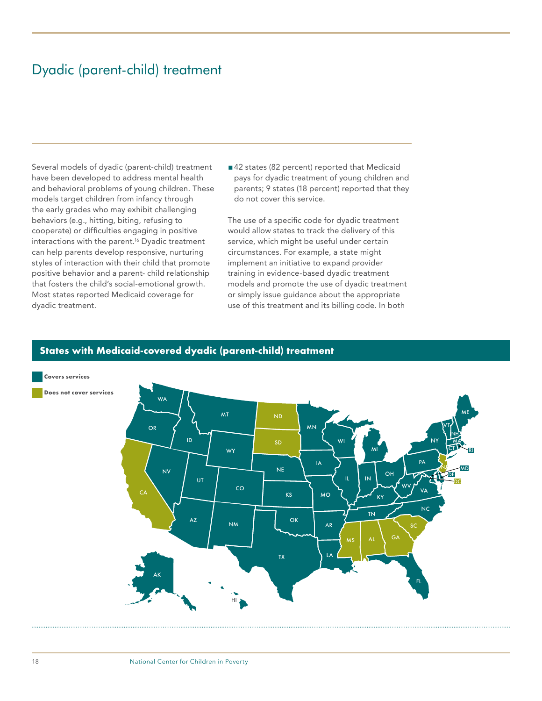### <span id="page-19-0"></span>Dyadic (parent-child) treatment

Several models of dyadic (parent-child) treatment have been developed to address mental health and behavioral problems of young children. These models target children from infancy through the early grades who may exhibit challenging behaviors (e.g., hitting, biting, refusing to cooperate) or difficulties engaging in positive interactions with the parent.16 Dyadic treatment can help parents develop responsive, nurturing styles of interaction with their child that promote positive behavior and a parent- child relationship that fosters the child's social-emotional growth. Most states reported Medicaid coverage for dyadic treatment.

■42 states (82 percent) reported that Medicaid pays for dyadic treatment of young children and parents; 9 states (18 percent) reported that they do not cover this service.

The use of a specific code for dyadic treatment would allow states to track the delivery of this service, which might be useful under certain circumstances. For example, a state might implement an initiative to expand provider training in evidence-based dyadic treatment models and promote the use of dyadic treatment or simply issue guidance about the appropriate use of this treatment and its billing code. In both



#### **States with Medicaid-covered dyadic (parent-child) treatment**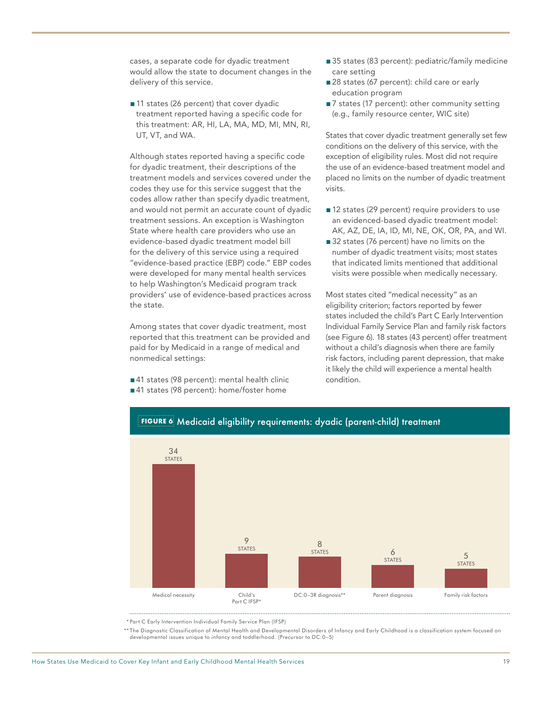cases, a separate code for dyadic treatment would allow the state to document changes in the delivery of this service.

■ 11 states (26 percent) that cover dyadic treatment reported having a specific code for this treatment: AR, HI, LA, MA, MD, MI, MN, RI, UT, VT, and WA.

Although states reported having a specific code for dyadic treatment, their descriptions of the treatment models and services covered under the codes they use for this service suggest that the codes allow rather than specify dyadic treatment, and would not permit an accurate count of dyadic treatment sessions. An exception is Washington State where health care providers who use an evidence-based dyadic treatment model bill for the delivery of this service using a required "evidence-based practice (EBP) code." EBP codes were developed for many mental health services to help Washington's Medicaid program track providers' use of evidence-based practices across the state.

Among states that cover dyadic treatment, most reported that this treatment can be provided and paid for by Medicaid in a range of medical and nonmedical settings:

- ■41 states (98 percent): mental health clinic
- ■41 states (98 percent): home/foster home
- 35 states (83 percent): pediatric/family medicine care setting
- 28 states (67 percent): child care or early education program
- ■7 states (17 percent): other community setting (e.g., family resource center, WIC site)

States that cover dyadic treatment generally set few conditions on the delivery of this service, with the exception of eligibility rules. Most did not require the use of an evidence-based treatment model and placed no limits on the number of dyadic treatment visits.

- 12 states (29 percent) require providers to use an evidenced-based dyadic treatment model: AK, AZ, DE, IA, ID, MI, NE, OK, OR, PA, and WI.
- 32 states (76 percent) have no limits on the number of dyadic treatment visits; most states that indicated limits mentioned that additional visits were possible when medically necessary.

Most states cited "medical necessity" as an eligibility criterion; factors reported by fewer states included the child's Part C Early Intervention Individual Family Service Plan and family risk factors (see Figure 6). 18 states (43 percent) offer treatment without a child's diagnosis when there are family risk factors, including parent depression, that make it likely the child will experience a mental health condition.



#### **FIGURE 6** Medicaid eligibility requirements: dyadic (parent-child) treatment

\* Part C Early Intervention Individual Family Service Plan (IFSP)

\*\* The Diagnostic Classification of Mental Health and Developmental Disorders of Infancy and Early Childhood is a classification system focused on developmental issues unique to infancy and toddlerhood. (Precursor to DC:0–5)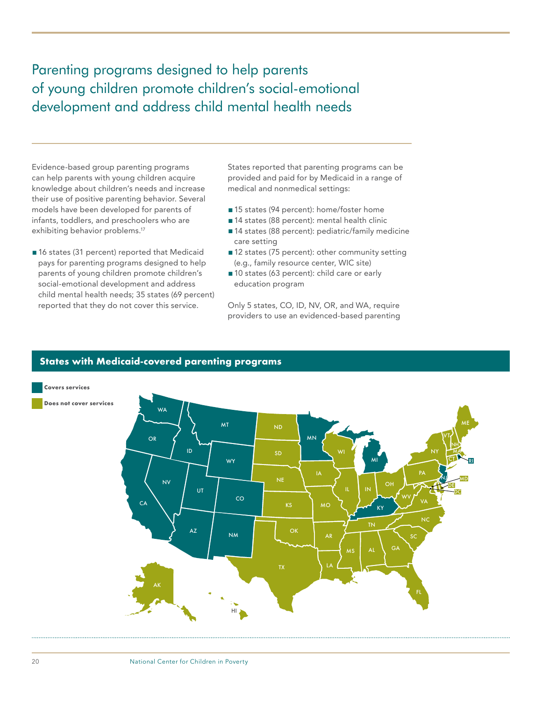<span id="page-21-0"></span>Parenting programs designed to help parents of young children promote children's social-emotional development and address child mental health needs

Evidence-based group parenting programs can help parents with young children acquire knowledge about children's needs and increase their use of positive parenting behavior. Several models have been developed for parents of infants, toddlers, and preschoolers who are exhibiting behavior problems.<sup>17</sup>

■ 16 states (31 percent) reported that Medicaid pays for parenting programs designed to help parents of young children promote children's social-emotional development and address child mental health needs; 35 states (69 percent) reported that they do not cover this service.

States reported that parenting programs can be provided and paid for by Medicaid in a range of medical and nonmedical settings:

- 15 states (94 percent): home/foster home
- 14 states (88 percent): mental health clinic
- 14 states (88 percent): pediatric/family medicine care setting
- ■12 states (75 percent): other community setting (e.g., family resource center, WIC site)
- 10 states (63 percent): child care or early education program

Only 5 states, CO, ID, NV, OR, and WA, require providers to use an evidenced-based parenting



#### **States with Medicaid-covered parenting programs**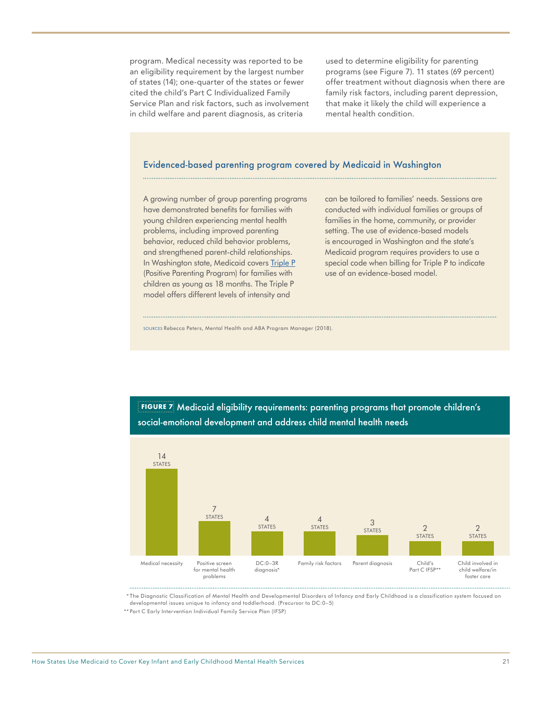program. Medical necessity was reported to be an eligibility requirement by the largest number of states (14); one-quarter of the states or fewer cited the child's Part C Individualized Family Service Plan and risk factors, such as involvement in child welfare and parent diagnosis, as criteria

used to determine eligibility for parenting programs (see Figure 7). 11 states (69 percent) offer treatment without diagnosis when there are family risk factors, including parent depression, that make it likely the child will experience a mental health condition.

#### Evidenced-based parenting program covered by Medicaid in Washington

A growing number of group parenting programs have demonstrated benefits for families with young children experiencing mental health problems, including improved parenting behavior, reduced child behavior problems, and strengthened parent-child relationships. In Washington state, Medicaid covers [Triple P](https://www.triplep.net/glo-en/home/) (Positive Parenting Program) for families with children as young as 18 months. The Triple P model offers different levels of intensity and

can be tailored to families' needs. Sessions are conducted with individual families or groups of families in the home, community, or provider setting. The use of evidence-based models is encouraged in Washington and the state's Medicaid program requires providers to use a special code when billing for Triple P to indicate use of an evidence-based model.

SOURCES Rebecca Peters, Mental Health and ABA Program Manager (2018).



**FIGURE 7** Medicaid eligibility requirements: parenting programs that promote children's social-emotional development and address child mental health needs

\* The Diagnostic Classification of Mental Health and Developmental Disorders of Infancy and Early Childhood is a classification system focused on developmental issues unique to infancy and toddlerhood. (Precursor to DC:0–5)

\*\* Part C Early Intervention Individual Family Service Plan (IFSP)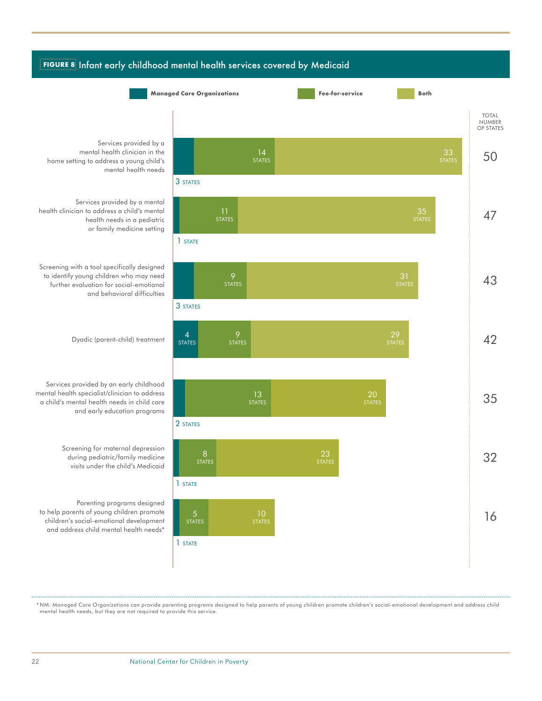

\* NM: Managed Care Organizations can provide parenting programs designed to help parents of young children promote children's social-emotional development and address child mental health needs, but they are not required to provide this service.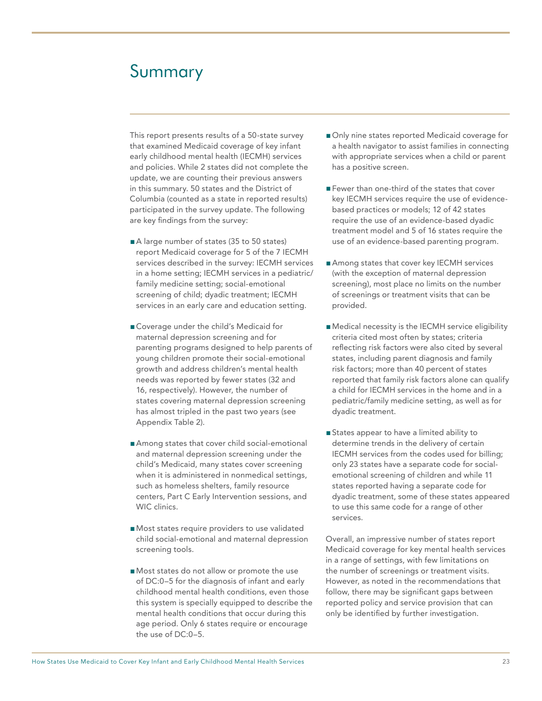## <span id="page-24-0"></span>Summary

This report presents results of a 50-state survey that examined Medicaid coverage of key infant early childhood mental health (IECMH) services and policies. While 2 states did not complete the update, we are counting their previous answers in this summary. 50 states and the District of Columbia (counted as a state in reported results) participated in the survey update. The following are key findings from the survey:

- A large number of states (35 to 50 states) report Medicaid coverage for 5 of the 7 IECMH services described in the survey: IECMH services in a home setting; IECMH services in a pediatric/ family medicine setting; social-emotional screening of child; dyadic treatment; IECMH services in an early care and education setting.
- Coverage under the child's Medicaid for maternal depression screening and for parenting programs designed to help parents of young children promote their social-emotional growth and address children's mental health needs was reported by fewer states (32 and 16, respectively). However, the number of states covering maternal depression screening has almost tripled in the past two years (see Appendix Table 2).
- Among states that cover child social-emotional and maternal depression screening under the child's Medicaid, many states cover screening when it is administered in nonmedical settings, such as homeless shelters, family resource centers, Part C Early Intervention sessions, and WIC clinics.
- Most states require providers to use validated child social-emotional and maternal depression screening tools.
- Most states do not allow or promote the use of DC:0–5 for the diagnosis of infant and early childhood mental health conditions, even those this system is specially equipped to describe the mental health conditions that occur during this age period. Only 6 states require or encourage the use of DC:0–5.
- Only nine states reported Medicaid coverage for a health navigator to assist families in connecting with appropriate services when a child or parent has a positive screen.
- Fewer than one-third of the states that cover key IECMH services require the use of evidencebased practices or models; 12 of 42 states require the use of an evidence-based dyadic treatment model and 5 of 16 states require the use of an evidence-based parenting program.
- Among states that cover key IECMH services (with the exception of maternal depression screening), most place no limits on the number of screenings or treatment visits that can be provided.
- Medical necessity is the IECMH service eligibility criteria cited most often by states; criteria reflecting risk factors were also cited by several states, including parent diagnosis and family risk factors; more than 40 percent of states reported that family risk factors alone can qualify a child for IECMH services in the home and in a pediatric/family medicine setting, as well as for dyadic treatment.
- States appear to have a limited ability to determine trends in the delivery of certain IECMH services from the codes used for billing; only 23 states have a separate code for socialemotional screening of children and while 11 states reported having a separate code for dyadic treatment, some of these states appeared to use this same code for a range of other services.

Overall, an impressive number of states report Medicaid coverage for key mental health services in a range of settings, with few limitations on the number of screenings or treatment visits. However, as noted in the recommendations that follow, there may be significant gaps between reported policy and service provision that can only be identified by further investigation.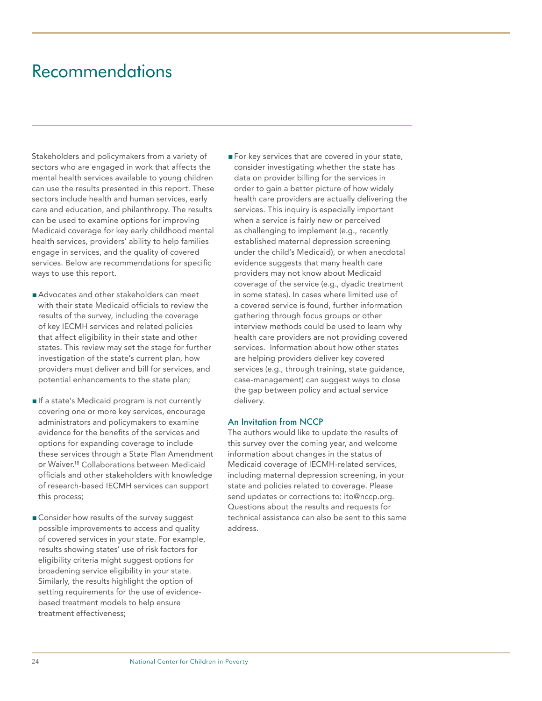## <span id="page-25-0"></span>Recommendations

Stakeholders and policymakers from a variety of sectors who are engaged in work that affects the mental health services available to young children can use the results presented in this report. These sectors include health and human services, early care and education, and philanthropy. The results can be used to examine options for improving Medicaid coverage for key early childhood mental health services, providers' ability to help families engage in services, and the quality of covered services. Below are recommendations for specific ways to use this report.

- Advocates and other stakeholders can meet with their state Medicaid officials to review the results of the survey, including the coverage of key IECMH services and related policies that affect eligibility in their state and other states. This review may set the stage for further investigation of the state's current plan, how providers must deliver and bill for services, and potential enhancements to the state plan;
- ■If a state's Medicaid program is not currently covering one or more key services, encourage administrators and policymakers to examine evidence for the benefits of the services and options for expanding coverage to include these services through a State Plan Amendment or Waiver.18 Collaborations between Medicaid officials and other stakeholders with knowledge of research-based IECMH services can support this process;
- Consider how results of the survey suggest possible improvements to access and quality of covered services in your state. For example, results showing states' use of risk factors for eligibility criteria might suggest options for broadening service eligibility in your state. Similarly, the results highlight the option of setting requirements for the use of evidencebased treatment models to help ensure treatment effectiveness;

■ For key services that are covered in your state, consider investigating whether the state has data on provider billing for the services in order to gain a better picture of how widely health care providers are actually delivering the services. This inquiry is especially important when a service is fairly new or perceived as challenging to implement (e.g., recently established maternal depression screening under the child's Medicaid), or when anecdotal evidence suggests that many health care providers may not know about Medicaid coverage of the service (e.g., dyadic treatment in some states). In cases where limited use of a covered service is found, further information gathering through focus groups or other interview methods could be used to learn why health care providers are not providing covered services. Information about how other states are helping providers deliver key covered services (e.g., through training, state guidance, case-management) can suggest ways to close the gap between policy and actual service delivery.

#### An Invitation from NCCP

The authors would like to update the results of this survey over the coming year, and welcome information about changes in the status of Medicaid coverage of IECMH-related services, including maternal depression screening, in your state and policies related to coverage. Please send updates or corrections to: ito@nccp.org. Questions about the results and requests for technical assistance can also be sent to this same address.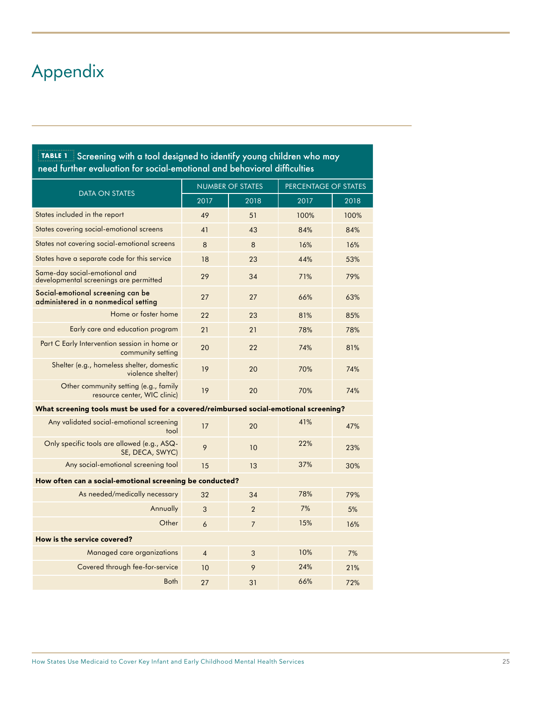## <span id="page-26-0"></span>Appendix

| $\frac{1}{2}$ TABLE 1 $\frac{1}{2}$ Screening with a tool designed to identify young children who may<br>need further evaluation for social-emotional and behavioral difficulties |                         |                |                      |      |  |  |
|-----------------------------------------------------------------------------------------------------------------------------------------------------------------------------------|-------------------------|----------------|----------------------|------|--|--|
|                                                                                                                                                                                   | <b>NUMBER OF STATES</b> |                | PERCENTAGE OF STATES |      |  |  |
| <b>DATA ON STATES</b>                                                                                                                                                             | 2017                    | 2018           | 2017                 | 2018 |  |  |
| States included in the report                                                                                                                                                     | 49                      | 51             | 100%                 | 100% |  |  |
| States covering social-emotional screens                                                                                                                                          | 41                      | 43             | 84%                  | 84%  |  |  |
| States not covering social-emotional screens                                                                                                                                      | 8                       | 8              | 16%                  | 16%  |  |  |
| States have a separate code for this service                                                                                                                                      | 18                      | 23             | 44%                  | 53%  |  |  |
| Same-day social-emotional and<br>developmental screenings are permitted                                                                                                           | 29                      | 34             | 71%                  | 79%  |  |  |
| Social emotional screening can be<br>administered in a nonmedical setting                                                                                                         | 27                      | 27             | 66%                  | 63%  |  |  |
| Home or foster home                                                                                                                                                               | 22                      | 23             | 81%                  | 85%  |  |  |
| Early care and education program                                                                                                                                                  | 21                      | 21             | 78%                  | 78%  |  |  |
| Part C Early Intervention session in home or<br>community setting                                                                                                                 | 20                      | 22             | 74%                  | 81%  |  |  |
| Shelter (e.g., homeless shelter, domestic<br>violence shelter)                                                                                                                    | 19                      | 20             | 70%                  | 74%  |  |  |
| Other community setting (e.g., family<br>resource center, WIC clinic)                                                                                                             | 19                      | 20             | 70%                  | 74%  |  |  |
| What screening tools must be used for a covered/reimbursed social-emotional screening?                                                                                            |                         |                |                      |      |  |  |
| Any validated social-emotional screening<br>tool                                                                                                                                  | 17                      | 20             | 41%                  | 47%  |  |  |
| Only specific tools are allowed (e.g., ASQ-<br>SE, DECA, SWYC)                                                                                                                    | 9                       | 10             | 22%                  | 23%  |  |  |
| Any social-emotional screening tool                                                                                                                                               | 15                      | 13             | 37%                  | 30%  |  |  |
| How often can a social-emotional screening be conducted?                                                                                                                          |                         |                |                      |      |  |  |
| As needed/medically necessary                                                                                                                                                     | 32                      | 34             | 78%                  | 79%  |  |  |
| Annually                                                                                                                                                                          | 3                       | $\overline{2}$ | 7%                   | 5%   |  |  |
| Other                                                                                                                                                                             | 6                       | $\overline{7}$ | 15%                  | 16%  |  |  |
| How is the service covered?                                                                                                                                                       |                         |                |                      |      |  |  |
| Managed care organizations                                                                                                                                                        | $\overline{4}$          | 3              | 10%                  | 7%   |  |  |
| Covered through fee-for-service                                                                                                                                                   | 10                      | 9              | 74%                  | 21%  |  |  |
| <b>Both</b>                                                                                                                                                                       | 27                      | 31             | 66%                  | 72%  |  |  |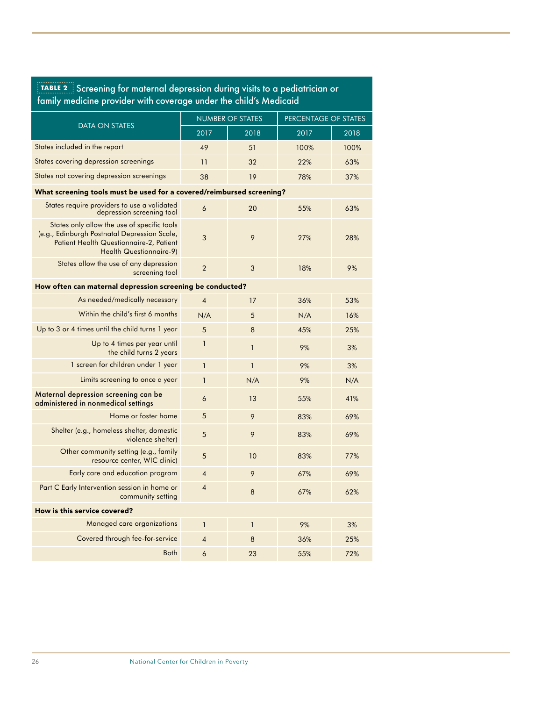| ocrediting for material appression admig visits to a poulantelan of<br>family medicine provider with coverage under the child's Medicaid                          |                         |              |                      |      |  |
|-------------------------------------------------------------------------------------------------------------------------------------------------------------------|-------------------------|--------------|----------------------|------|--|
|                                                                                                                                                                   | <b>NUMBER OF STATES</b> |              | PERCENTAGE OF STATES |      |  |
| <b>DATA ON STATES</b>                                                                                                                                             | 2017                    | 2018         | 2017                 | 2018 |  |
| States included in the report                                                                                                                                     | 49                      | 51           | 100%                 | 100% |  |
| States covering depression screenings                                                                                                                             | 11                      | 32           | 22%                  | 63%  |  |
| States not covering depression screenings                                                                                                                         | 38                      | 19           | 78%                  | 37%  |  |
| What screening tools must be used for a covered/reimbursed screening?                                                                                             |                         |              |                      |      |  |
| States require providers to use a validated<br>depression screening tool                                                                                          | 6                       | 20           | 55%                  | 63%  |  |
| States only allow the use of specific tools<br>(e.g., Edinburgh Postnatal Depression Scale,<br>Patient Health Questionnaire-2, Patient<br>Health Questionnaire-9) | 3                       | 9            | 27%                  | 28%  |  |
| States allow the use of any depression<br>screening tool                                                                                                          | $\overline{2}$          | 3            | 18%                  | 9%   |  |
| How often can maternal depression screening be conducted?                                                                                                         |                         |              |                      |      |  |
| As needed/medically necessary                                                                                                                                     | $\overline{\mathbf{4}}$ | 17           | 36%                  | 53%  |  |
| Within the child's first 6 months                                                                                                                                 | N/A                     | 5            | N/A                  | 16%  |  |
| Up to 3 or 4 times until the child turns 1 year                                                                                                                   | 5                       | 8            | 45%                  | 25%  |  |
| Up to 4 times per year until<br>the child turns 2 years                                                                                                           | 1                       | $\mathbf{1}$ | 9%                   | 3%   |  |
| 1 screen for children under 1 year                                                                                                                                | $\mathbf{1}$            | $\mathbf{1}$ | 9%                   | 3%   |  |
| Limits screening to once a year                                                                                                                                   | $\mathbf{1}$            | N/A          | 9%                   | N/A  |  |
| Maternal depression screening can be<br>administered in nonmedical settings                                                                                       | 6                       | 13           | 55%                  | 41%  |  |
| Home or foster home                                                                                                                                               | 5                       | 9            | 83%                  | 69%  |  |
| Shelter (e.g., homeless shelter, domestic<br>violence shelter)                                                                                                    | 5                       | 9            | 83%                  | 69%  |  |
| Other community setting (e.g., family<br>resource center, WIC clinic)                                                                                             | 5                       | 10           | 83%                  | 77%  |  |
| Early care and education program                                                                                                                                  | $\overline{4}$          | 9            | 67%                  | 69%  |  |
| Part C Early Intervention session in home or<br>community setting                                                                                                 | $\Lambda$               | 8            | 67%                  | 62%  |  |
| How is this service covered?                                                                                                                                      |                         |              |                      |      |  |
| Managed care organizations                                                                                                                                        | $\mathbf{1}$            | $\mathbf{1}$ | 9%                   | 3%   |  |
| Covered through fee-for-service                                                                                                                                   | 4                       | 8            | 36%                  | 25%  |  |
| <b>Both</b>                                                                                                                                                       | 6                       | 23           | 55%                  | 72%  |  |

# **TABLE 2** Screening for maternal depression during visits to a pediatrician or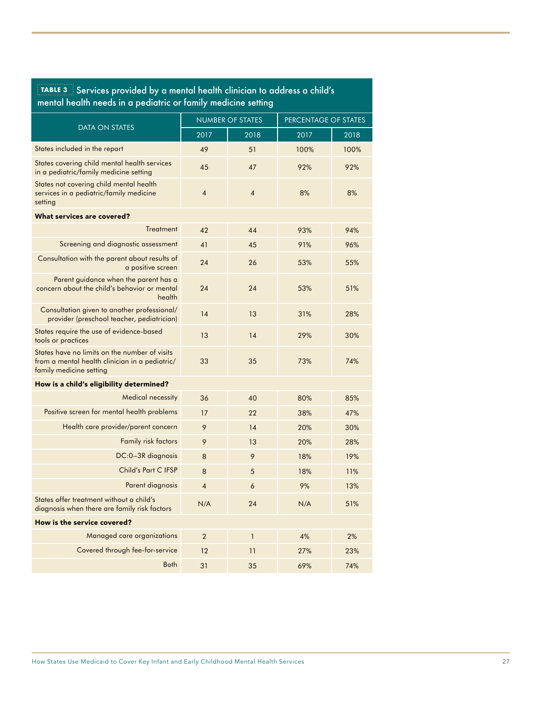| TABLE 3 Services provided by a mental health clinician to address a child's |
|-----------------------------------------------------------------------------|
| mental health needs in a pediatric or family medicine setting               |

|                                                                                                                            | <b>NUMBER OF STATES</b> |                | PERCENTAGE OF STATES |      |
|----------------------------------------------------------------------------------------------------------------------------|-------------------------|----------------|----------------------|------|
| <b>DATA ON STATES</b>                                                                                                      | 2017                    | 2018           | 2017                 | 2018 |
| States included in the report                                                                                              | 49                      | 51             | 100%                 | 100% |
| States covering child mental health services<br>in a pediatric/family medicine setting                                     | 45                      | 47             | 92%                  | 92%  |
| States not covering child mental health<br>services in a pediatric/family medicine<br>setting                              | $\overline{4}$          | $\overline{4}$ | 8%                   | 8%   |
| What services are covered?                                                                                                 |                         |                |                      |      |
| Treatment                                                                                                                  | 42                      | 44             | 93%                  | 94%  |
| Screening and diagnostic assessment                                                                                        | 41                      | 45             | 91%                  | 96%  |
| Consultation with the parent about results of<br>a positive screen                                                         | 24                      | 26             | 53%                  | 55%  |
| Parent guidance when the parent has a<br>concern about the child's behavior or mental<br>health                            | 24                      | 24             | 53%                  | 51%  |
| Consultation given to another professional/<br>provider (preschool teacher, pediatrician)                                  | 14                      | 13             | 31%                  | 28%  |
| States require the use of evidence-based<br>tools or practices                                                             | 13                      | 14             | 29%                  | 30%  |
| States have no limits on the number of visits<br>from a mental health clinician in a pediatric/<br>family medicine setting | 33                      | 35             | 73%                  | 74%  |
| How is a child's eligibility determined?                                                                                   |                         |                |                      |      |
| <b>Medical necessity</b>                                                                                                   | 36                      | 40             | 80%                  | 85%  |
| Positive screen for mental health problems                                                                                 | 17                      | 22             | 38%                  | 47%  |
| Health care provider/parent concern                                                                                        | 9                       | 14             | 20%                  | 30%  |
| <b>Family risk factors</b>                                                                                                 | 9                       | 13             | 20%                  | 28%  |
| DC:0-3R diagnosis                                                                                                          | 8                       | 9              | 18%                  | 19%  |
| Child's Part C IFSP                                                                                                        | 8                       | 5              | 18%                  | 11%  |
| Parent diagnosis                                                                                                           | $\overline{4}$          | 6              | 9%                   | 13%  |
| States offer treatment without a child's<br>diagnosis when there are family risk factors                                   | N/A                     | 24             | N/A                  | 51%  |
| How is the service covered?                                                                                                |                         |                |                      |      |
| Managed care organizations                                                                                                 | $\overline{2}$          | $\mathbf{1}$   | 4%                   | 2%   |
| Covered through fee-for-service                                                                                            | 12                      | 11             | 27%                  | 23%  |
| <b>Both</b>                                                                                                                | 31                      | 35             | 69%                  | 74%  |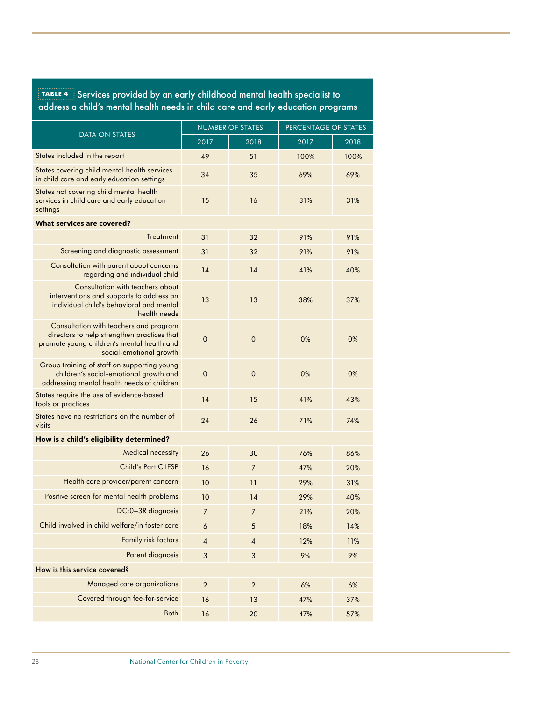| TABLE 4 Services provided by an early childhood mental health specialist to      |
|----------------------------------------------------------------------------------|
| address a child's mental health needs in child care and early education programs |

|                                                                                                                                                                | <b>NUMBER OF STATES</b> |                | PERCENTAGE OF STATES |      |
|----------------------------------------------------------------------------------------------------------------------------------------------------------------|-------------------------|----------------|----------------------|------|
| <b>DATA ON STATES</b>                                                                                                                                          | 2017                    | 2018           | 2017                 | 2018 |
| States included in the report                                                                                                                                  | 49                      | 51             | 100%                 | 100% |
| States covering child mental health services<br>in child care and early education settings                                                                     | 34                      | 35             | 69%                  | 69%  |
| States not covering child mental health<br>services in child care and early education<br>settings                                                              | 15                      | 16             | 31%                  | 31%  |
| What services are covered?                                                                                                                                     |                         |                |                      |      |
| <b>Treatment</b>                                                                                                                                               | 31                      | 32             | 91%                  | 91%  |
| Screening and diagnostic assessment                                                                                                                            | 31                      | 32             | 91%                  | 91%  |
| Consultation with parent about concerns<br>regarding and individual child                                                                                      | 14                      | 14             | 41%                  | 40%  |
| Consultation with teachers about<br>interventions and supports to address an<br>individual child's behavioral and mental<br>health needs                       | 13                      | 13             | 38%                  | 37%  |
| Consultation with teachers and program<br>directors to help strengthen practices that<br>promote young children's mental health and<br>social-emotional growth | $\overline{0}$          | $\overline{0}$ | 0%                   | 0%   |
| Group training of staff on supporting young<br>children's social-emotional growth and<br>addressing mental health needs of children                            | $\mathbf 0$             | $\overline{0}$ | 0%                   | 0%   |
| States require the use of evidence-based<br>tools or practices                                                                                                 | 14                      | 15             | 41%                  | 43%  |
| States have no restrictions on the number of<br>visits                                                                                                         | 24                      | 26             | 71%                  | 74%  |
| How is a child's eligibility determined?                                                                                                                       |                         |                |                      |      |
| <b>Medical necessity</b>                                                                                                                                       | 26                      | 30             | 76%                  | 86%  |
| Child's Part C IFSP                                                                                                                                            | 16                      | $\overline{7}$ | 47%                  | 20%  |
| Health care provider/parent concern                                                                                                                            | 10                      | 11             | 29%                  | 31%  |
| Positive screen for mental health problems                                                                                                                     | 10                      | 14             | 29%                  | 40%  |
| DC:0-3R diagnosis                                                                                                                                              | 7                       | 7              | 21%                  | 20%  |
| Child involved in child welfare/in foster care                                                                                                                 | 6                       | 5              | 18%                  | 14%  |
| Family risk factors                                                                                                                                            | $\overline{4}$          | $\overline{4}$ | 12%                  | 11%  |
| Parent diagnosis                                                                                                                                               | $\sqrt{3}$              | 3              | 9%                   | 9%   |
| How is this service covered?                                                                                                                                   |                         |                |                      |      |
| Managed care organizations                                                                                                                                     | $\overline{2}$          | $\sqrt{2}$     | 6%                   | 6%   |
| Covered through fee-for-service                                                                                                                                | 16                      | 13             | 47%                  | 37%  |
| <b>Both</b>                                                                                                                                                    | 16                      | 20             | 47%                  | 57%  |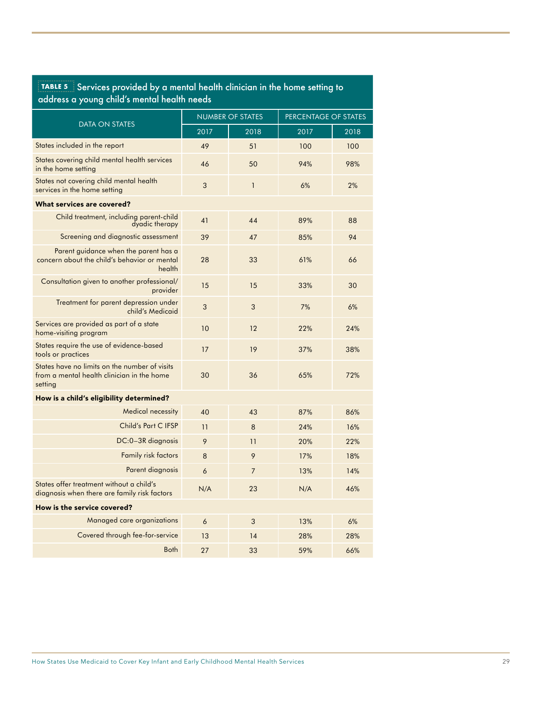#### **TABLE 5** Services provided by a mental health clinician in the home setting to address a young child's mental health needs

|                                                                                                        | <b>NUMBER OF STATES</b> |                | PERCENTAGE OF STATES |      |
|--------------------------------------------------------------------------------------------------------|-------------------------|----------------|----------------------|------|
| <b>DATA ON STATES</b>                                                                                  | 2017                    | 2018           | 2017                 | 2018 |
| States included in the report                                                                          | 49                      | 51             | 100                  | 100  |
| States covering child mental health services<br>in the home setting                                    | 46                      | 50             | 94%                  | 98%  |
| States not covering child mental health<br>services in the home setting                                | 3                       | $\mathbf{1}$   | 6%                   | 2%   |
| What services are covered?                                                                             |                         |                |                      |      |
| Child treatment, including parent-child<br>dyadic therapy                                              | 41                      | 44             | 89%                  | 88   |
| Screening and diagnostic assessment                                                                    | 39                      | 47             | 85%                  | 94   |
| Parent guidance when the parent has a<br>concern about the child's behavior or mental<br>health        | 28                      | 33             | 61%                  | 66   |
| Consultation given to another professional/<br>provider                                                | 15                      | 15             | 33%                  | 30   |
| Treatment for parent depression under<br>child's Medicaid                                              | 3                       | 3              | 7%                   | 6%   |
| Services are provided as part of a state<br>home-visiting program                                      | 10                      | 12             | 22%                  | 24%  |
| States require the use of evidence-based<br>tools or practices                                         | 17                      | 19             | 37%                  | 38%  |
| States have no limits on the number of visits<br>from a mental health clinician in the home<br>setting | 30                      | 36             | 65%                  | 72%  |
| How is a child's eligibility determined?                                                               |                         |                |                      |      |
| <b>Medical necessity</b>                                                                               | 40                      | 43             | 87%                  | 86%  |
| Child's Part C IFSP                                                                                    | 11                      | 8              | 24%                  | 16%  |
| DC:0-3R diagnosis                                                                                      | 9                       | 11             | 20%                  | 22%  |
| <b>Family risk factors</b>                                                                             | 8                       | 9              | 17%                  | 18%  |
| Parent diagnosis                                                                                       | 6                       | $\overline{7}$ | 13%                  | 14%  |
| States offer treatment without a child's<br>diagnosis when there are family risk factors               | N/A                     | 23             | N/A                  | 46%  |
| How is the service covered?                                                                            |                         |                |                      |      |
| Managed care organizations                                                                             | 6                       | 3              | 13%                  | 6%   |
| Covered through fee-for-service                                                                        | 13                      | 14             | 28%                  | 28%  |
| <b>Both</b>                                                                                            | 27                      | 33             | 59%                  | 66%  |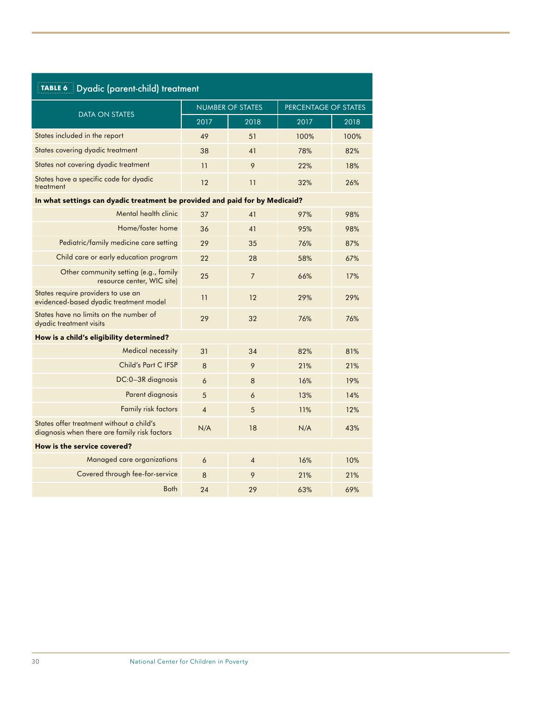| TABLE 6<br>Dyadic (parent-child) treatment                                               |                         |                |                      |      |  |
|------------------------------------------------------------------------------------------|-------------------------|----------------|----------------------|------|--|
|                                                                                          | <b>NUMBER OF STATES</b> |                | PERCENTAGE OF STATES |      |  |
| <b>DATA ON STATES</b>                                                                    | 2017                    | 2018           | 2017                 | 2018 |  |
| States included in the report                                                            | 49                      | 51             | 100%                 | 100% |  |
| States covering dyadic treatment                                                         | 38                      | 41             | 78%                  | 82%  |  |
| States not covering dyadic treatment                                                     | 11                      | 9              | 22%                  | 18%  |  |
| States have a specific code for dyadic<br>treatment                                      | 12                      | 11             | 32%                  | 26%  |  |
| In what settings can dyadic treatment be provided and paid for by Medicaid?              |                         |                |                      |      |  |
| Mental health clinic                                                                     | 37                      | 41             | 97%                  | 98%  |  |
| Home/foster home                                                                         | 36                      | 41             | 95%                  | 98%  |  |
| Pediatric/family medicine care setting                                                   | 29                      | 35             | 76%                  | 87%  |  |
| Child care or early education program                                                    | 22                      | 28             | 58%                  | 67%  |  |
| Other community setting (e.g., family<br>resource center, WIC site)                      | 25                      | $\overline{7}$ | 66%                  | 17%  |  |
| States require providers to use an<br>evidenced-based dyadic treatment model             | 11                      | 12             | 29%                  | 29%  |  |
| States have no limits on the number of<br>dyadic treatment visits                        | 29                      | 32             | 76%                  | 76%  |  |
| How is a child's eligibility determined?                                                 |                         |                |                      |      |  |
| <b>Medical necessity</b>                                                                 | 31                      | 34             | 82%                  | 81%  |  |
| Child's Part C IFSP                                                                      | 8                       | 9              | 21%                  | 21%  |  |
| DC:0-3R diagnosis                                                                        | 6                       | 8              | 16%                  | 19%  |  |
| Parent diagnosis                                                                         | 5                       | 6              | 13%                  | 14%  |  |
| <b>Family risk factors</b>                                                               | $\overline{4}$          | 5              | 11%                  | 12%  |  |
| States offer treatment without a child's<br>diagnosis when there are family risk factors | N/A                     | 18             | N/A                  | 43%  |  |
| How is the service covered?                                                              |                         |                |                      |      |  |
| Managed care organizations                                                               | 6                       | $\overline{4}$ | 16%                  | 10%  |  |
| Covered through fee-for-service                                                          | 8                       | 9              | 21%                  | 21%  |  |
| <b>Both</b>                                                                              | 24                      | 29             | 63%                  | 69%  |  |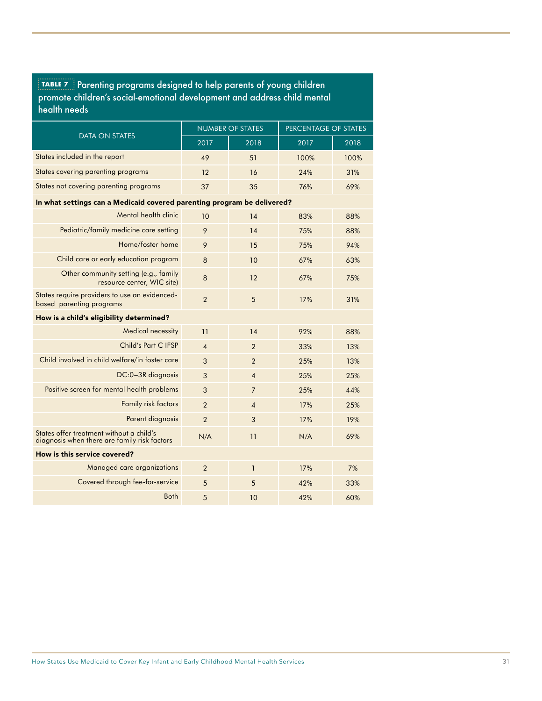| promote children's social-emotional development and address child mental<br>health needs |                |                         |                      |      |  |
|------------------------------------------------------------------------------------------|----------------|-------------------------|----------------------|------|--|
|                                                                                          |                | <b>NUMBER OF STATES</b> | PERCENTAGE OF STATES |      |  |
| DATA ON STATES                                                                           | 2017           | 2018                    | 2017                 | 2018 |  |
| States included in the report                                                            | 49             | 51                      | 100%                 | 100% |  |
| States covering parenting programs                                                       | 12             | 16                      | 24%                  | 31%  |  |
| States not covering parenting programs                                                   | 37             | 35                      | 76%                  | 69%  |  |
| In what settings can a Medicaid covered parenting program be delivered?                  |                |                         |                      |      |  |
| Mental health clinic                                                                     | 10             | 14                      | 83%                  | 88%  |  |
| Pediatric/family medicine care setting                                                   | 9              | 14                      | 75%                  | 88%  |  |
| Home/foster home                                                                         | 9              | 15                      | 75%                  | 94%  |  |
| Child care or early education program                                                    | 8              | 10                      | 67%                  | 63%  |  |
| Other community setting (e.g., family<br>resource center, WIC site)                      | 8              | 12                      | 67%                  | 75%  |  |
| States require providers to use an evidenced-<br>based parenting programs                | $\overline{2}$ | 5                       | 17%                  | 31%  |  |
| How is a child's eligibility determined?                                                 |                |                         |                      |      |  |
| <b>Medical necessity</b>                                                                 | 11             | 14                      | 92%                  | 88%  |  |
| Child's Part C IFSP                                                                      | $\overline{4}$ | $\overline{2}$          | 33%                  | 13%  |  |
| Child involved in child welfare/in foster care                                           | 3              | $\overline{2}$          | 25%                  | 13%  |  |
| DC:0-3R diagnosis                                                                        | 3              | $\overline{4}$          | 25%                  | 25%  |  |
| Positive screen for mental health problems                                               | 3              | $\overline{7}$          | 25%                  | 44%  |  |
| <b>Family risk factors</b>                                                               | $\overline{2}$ | $\overline{4}$          | 17%                  | 25%  |  |
| Parent diagnosis                                                                         | $\overline{2}$ | 3                       | 17%                  | 19%  |  |
| States offer treatment without a child's<br>diagnosis when there are family risk factors | N/A            | 11                      | N/A                  | 69%  |  |
| How is this service covered?                                                             |                |                         |                      |      |  |
| Managed care organizations                                                               | $\overline{2}$ | $\overline{1}$          | 17%                  | 7%   |  |
| Covered through fee-for-service                                                          | 5              | 5                       | 42%                  | 33%  |  |

Both 5 10 42% 60%